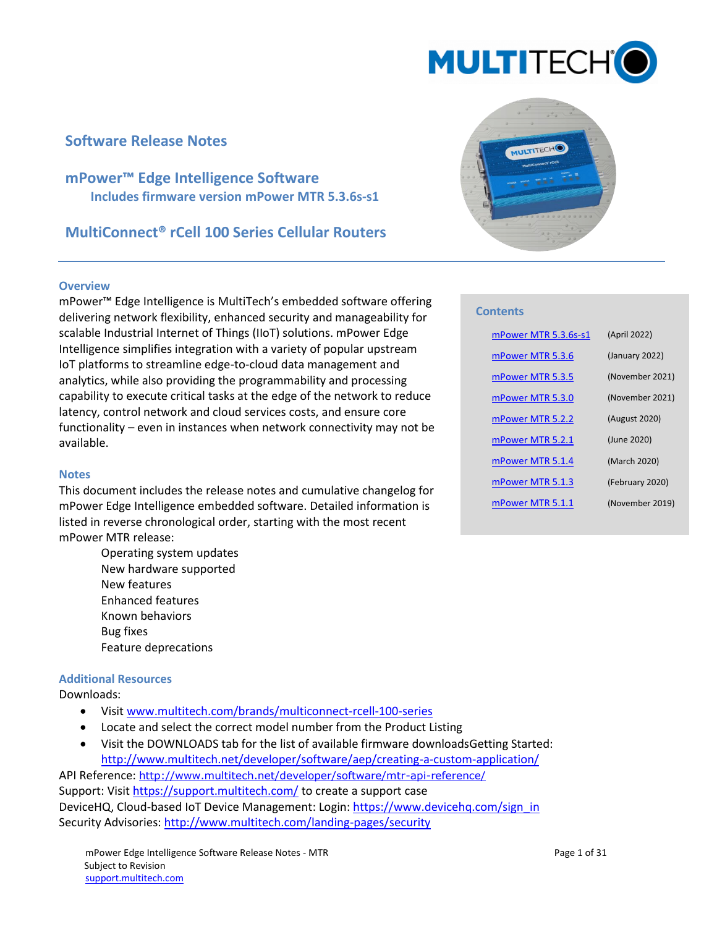

# **Software Release Notes**

**mPower™ Edge Intelligence Software Includes firmware version mPower MTR 5.3.6s-s1**

**MultiConnect® rCell 100 Series Cellular Routers**

#### **Overview**

mPower™ Edge Intelligence is MultiTech's embedded software offering delivering network flexibility, enhanced security and manageability for scalable Industrial Internet of Things (IIoT) solutions. mPower Edge Intelligence simplifies integration with a variety of popular upstream IoT platforms to streamline edge-to-cloud data management and analytics, while also providing the programmability and processing capability to execute critical tasks at the edge of the network to reduce latency, control network and cloud services costs, and ensure core functionality – even in instances when network connectivity may not be available.

#### **Notes**

This document includes the release notes and cumulative changelog for mPower Edge Intelligence embedded software. Detailed information is listed in reverse chronological order, starting with the most recent mPower MTR release:

> Operating system updates New hardware supported New features Enhanced features Known behaviors Bug fixes Feature deprecations

#### **Additional Resources**

Downloads:

- Visit [www.multitech.com/brands/multiconnect-rcell-100-series](http://www.multitech.com/brands/multiconnect-rcell-100-series)
- Locate and select the correct model number from the Product Listing
- Visit the DOWNLOADS tab for the list of available firmware downloadsGetting Started: http://www.multitech.net/developer/software/aep/creating-a-custom-application/

API Reference: <http://www.multitech.net/developer/software/mtr-api-reference/> Support: Visit<https://support.multitech.com/> to create a support case DeviceHQ, Cloud-based IoT Device Management: Login[: https://www.devicehq.com/sign\\_in](https://www.devicehq.com/sign_in) Security Advisories:<http://www.multitech.com/landing-pages/security>



#### **Contents**

| mPower MTR 5.3.6s-s1 | (April 2022)    |
|----------------------|-----------------|
| mPower MTR 5.3.6     | (January 2022)  |
| mPower MTR 5.3.5     | (November 2021) |
| mPower MTR 5.3.0     | (November 2021) |
| mPower MTR 5.2.2     | (August 2020)   |
| mPower MTR 5.2.1     | (June 2020)     |
| mPower MTR 5.1.4     | (March 2020)    |
| mPower MTR 5.1.3     | (February 2020) |
| mPower MTR 5.1.1     | (November 2019) |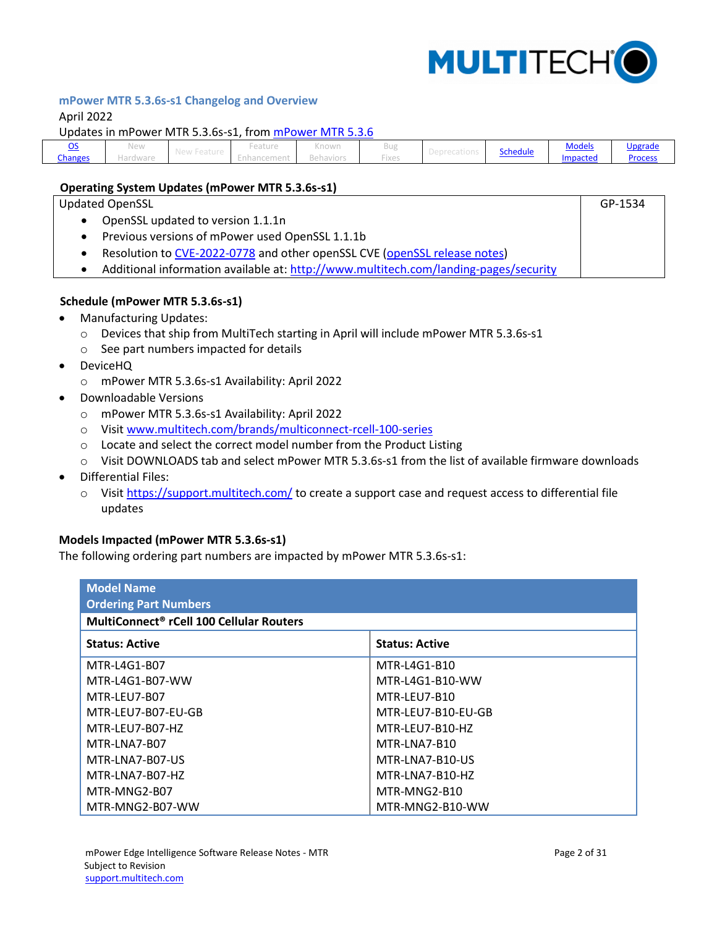

GP-1534

## <span id="page-1-0"></span>**mPower MTR 5.3.6s-s1 Changelog and Overview**

April 2022

#### <span id="page-1-1"></span>Updates in mPower MTR 5.3.6s-s1, fro[m mPower MTR 5.3.6](#page-2-0)

| <b>Models</b><br><u>Upgrade</u><br>.<br>.<br><b><i><u>Property</u></i></b><br><b>BU</b><br>new<br>NTIOWIT<br>CULUI C<br>$\tilde{\phantom{a}}$<br>chedule۔<br>.<br>-------<br><b>STATE</b><br><b>Changes</b><br>Proces:<br>Impacted<br>12.60%<br>-тхег<br>1 61 1 61 1 61 1 62<br>. |
|-----------------------------------------------------------------------------------------------------------------------------------------------------------------------------------------------------------------------------------------------------------------------------------|
|-----------------------------------------------------------------------------------------------------------------------------------------------------------------------------------------------------------------------------------------------------------------------------------|

#### **Operating System Updates (mPower MTR 5.3.6s-s1)**

Updated OpenSSL

- OpenSSL updated to version 1.1.1n
- Previous versions of mPower used OpenSSL 1.1.1b
- Resolution to [CVE-2022-0778](https://nvd.nist.gov/vuln/detail/CVE-2022-0778) and other openSSL CVE [\(openSSL release notes\)](https://www.openssl.org/news/openssl-1.1.1-notes.html)
- Additional information available at:<http://www.multitech.com/landing-pages/security>

#### <span id="page-1-2"></span>**Schedule (mPower MTR 5.3.6s-s1)**

- Manufacturing Updates:
	- o Devices that ship from MultiTech starting in April will include mPower MTR 5.3.6s-s1
	- o See part numbers impacted for details
- DeviceHQ
	- o mPower MTR 5.3.6s-s1 Availability: April 2022
- Downloadable Versions
	- o mPower MTR 5.3.6s-s1 Availability: April 2022
	- o Visit [www.multitech.com/brands/multiconnect-rcell-100-series](http://www.multitech.com/brands/multiconnect-rcell-100-series)
	- o Locate and select the correct model number from the Product Listing
	- o Visit DOWNLOADS tab and select mPower MTR 5.3.6s-s1 from the list of available firmware downloads
- Differential Files:
	- o Visit<https://support.multitech.com/> to create a support case and request access to differential file updates

#### <span id="page-1-3"></span>**Models Impacted (mPower MTR 5.3.6s-s1)**

The following ordering part numbers are impacted by mPower MTR 5.3.6s-s1:

<span id="page-1-4"></span>

| <b>Model Name</b><br><b>Ordering Part Numbers</b><br>MultiConnect <sup>®</sup> rCell 100 Cellular Routers |                    |  |  |  |  |
|-----------------------------------------------------------------------------------------------------------|--------------------|--|--|--|--|
| <b>Status: Active</b><br><b>Status: Active</b>                                                            |                    |  |  |  |  |
| MTR-L4G1-B07                                                                                              | MTR-L4G1-B10       |  |  |  |  |
| MTR-L4G1-B07-WW                                                                                           | MTR-L4G1-B10-WW    |  |  |  |  |
| MTR-LEU7-B07                                                                                              | MTR-LFU7-B10       |  |  |  |  |
| MTR-LEU7-B07-EU-GB                                                                                        | MTR-LEU7-B10-EU-GB |  |  |  |  |
| MTR-LEU7-B07-HZ                                                                                           | MTR-LFU7-B10-HZ    |  |  |  |  |
| MTR-LNA7-B07                                                                                              | MTR-LNA7-B10       |  |  |  |  |
| MTR-LNA7-B07-US                                                                                           | MTR-LNA7-B10-US    |  |  |  |  |
| MTR-LNA7-B07-HZ                                                                                           | MTR-LNA7-B10-HZ    |  |  |  |  |
| MTR-MNG2-B07                                                                                              | MTR-MNG2-B10       |  |  |  |  |
| MTR-MNG2-B07-WW                                                                                           | MTR-MNG2-B10-WW    |  |  |  |  |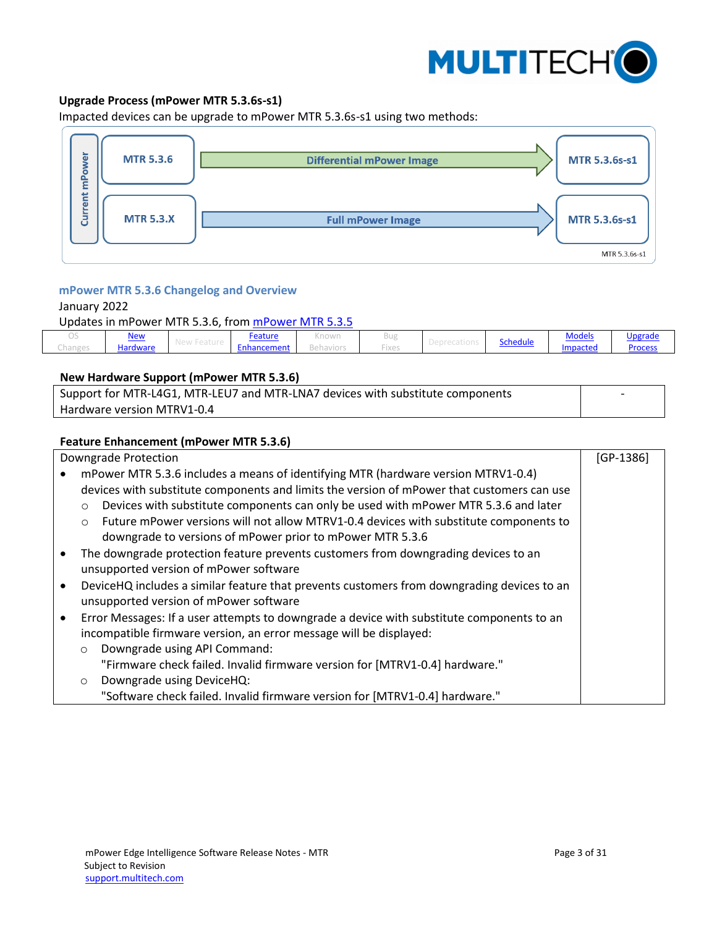

# **Upgrade Process (mPower MTR 5.3.6s-s1)**

Impacted devices can be upgrade to mPower MTR 5.3.6s-s1 using two methods:



### <span id="page-2-0"></span>**mPower MTR 5.3.6 Changelog and Overview**

#### January 2022

Updates in mPower MTR 5.3.6, from [mPower MTR 5.3.5](#page-4-0)

| $\smile$                         | <u>New</u> | <u>Feature</u> | <b>CONTINUES IN 1979</b><br>NTIOWIT | Bu:                          |                 | . .<br><b>Models</b> | <u>Upgrade</u> |
|----------------------------------|------------|----------------|-------------------------------------|------------------------------|-----------------|----------------------|----------------|
| <b>Innings</b><br>.<br>--------- | Hardware   | .<br>ancement  | .<br>$\sim$                         | --<br><b>COLOR</b><br>$\sim$ | <b>Schedule</b> | <i>impacted</i>      | Process        |

#### <span id="page-2-1"></span>**New Hardware Support (mPower MTR 5.3.6)**

| Support for MTR-L4G1, MTR-LEU7 and MTR-LNA7 devices with substitute components |  |
|--------------------------------------------------------------------------------|--|
| Hardware version MTRV1-0.4                                                     |  |

#### <span id="page-2-2"></span>**Feature Enhancement (mPower MTR 5.3.6)**

<span id="page-2-3"></span>

| Downgrade Protection                                                                                    | $[GP-1386]$ |  |  |  |  |
|---------------------------------------------------------------------------------------------------------|-------------|--|--|--|--|
| mPower MTR 5.3.6 includes a means of identifying MTR (hardware version MTRV1-0.4)                       |             |  |  |  |  |
| devices with substitute components and limits the version of mPower that customers can use              |             |  |  |  |  |
| Devices with substitute components can only be used with mPower MTR 5.3.6 and later<br>$\circ$          |             |  |  |  |  |
| Future mPower versions will not allow MTRV1-0.4 devices with substitute components to<br>$\circ$        |             |  |  |  |  |
| downgrade to versions of mPower prior to mPower MTR 5.3.6                                               |             |  |  |  |  |
| The downgrade protection feature prevents customers from downgrading devices to an<br>$\bullet$         |             |  |  |  |  |
| unsupported version of mPower software                                                                  |             |  |  |  |  |
| DeviceHQ includes a similar feature that prevents customers from downgrading devices to an<br>$\bullet$ |             |  |  |  |  |
| unsupported version of mPower software                                                                  |             |  |  |  |  |
| Error Messages: If a user attempts to downgrade a device with substitute components to an<br>$\bullet$  |             |  |  |  |  |
| incompatible firmware version, an error message will be displayed:                                      |             |  |  |  |  |
| Downgrade using API Command:<br>$\circ$                                                                 |             |  |  |  |  |
| "Firmware check failed. Invalid firmware version for [MTRV1-0.4] hardware."                             |             |  |  |  |  |
| Downgrade using DeviceHQ:<br>$\circ$                                                                    |             |  |  |  |  |
| "Software check failed. Invalid firmware version for [MTRV1-0.4] hardware."                             |             |  |  |  |  |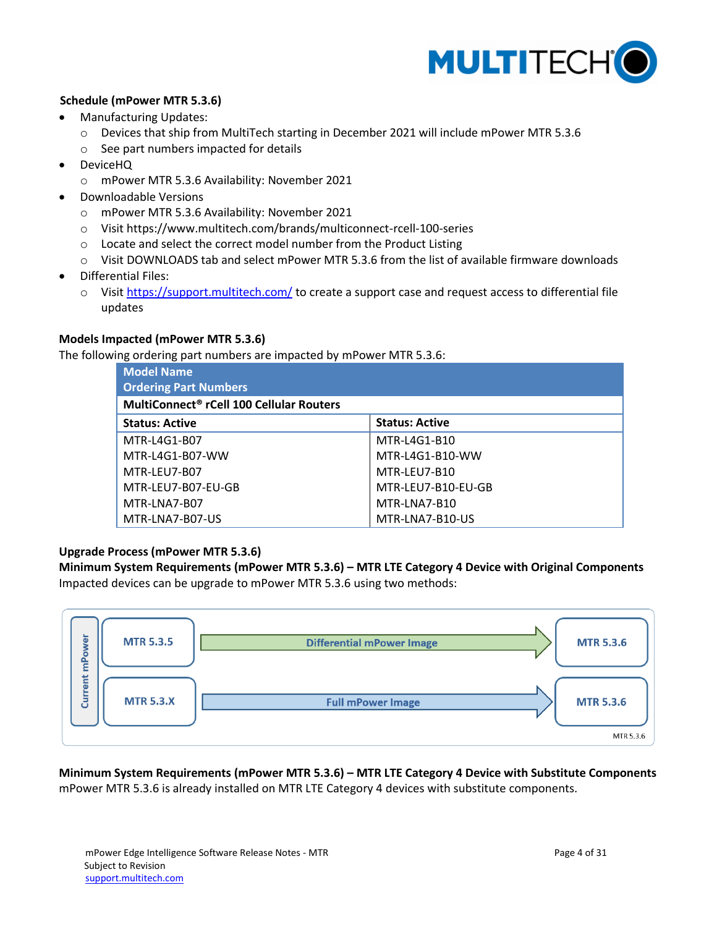

# **Schedule (mPower MTR 5.3.6)**

- Manufacturing Updates:
	- o Devices that ship from MultiTech starting in December 2021 will include mPower MTR 5.3.6
	- o See part numbers impacted for details
- DeviceHQ
	- o mPower MTR 5.3.6 Availability: November 2021
- Downloadable Versions
	- o mPower MTR 5.3.6 Availability: November 2021
	- o Visit https://www.multitech.com/brands/multiconnect-rcell-100-series
	- o Locate and select the correct model number from the Product Listing
	- o Visit DOWNLOADS tab and select mPower MTR 5.3.6 from the list of available firmware downloads
- Differential Files:
	- o Visit<https://support.multitech.com/> to create a support case and request access to differential file updates

## <span id="page-3-0"></span>**Models Impacted (mPower MTR 5.3.6)**

The following ordering part numbers are impacted by mPower MTR 5.3.6:

| <b>Model Name</b>                                    |                       |  |  |  |  |
|------------------------------------------------------|-----------------------|--|--|--|--|
| <b>Ordering Part Numbers</b>                         |                       |  |  |  |  |
| MultiConnect <sup>®</sup> rCell 100 Cellular Routers |                       |  |  |  |  |
| <b>Status: Active</b>                                | <b>Status: Active</b> |  |  |  |  |
| MTR-L4G1-B07                                         | MTR-L4G1-B10          |  |  |  |  |
| MTR-L4G1-B07-WW                                      | MTR-L4G1-B10-WW       |  |  |  |  |
| MTR-LEU7-B07                                         | MTR-LEU7-B10          |  |  |  |  |
| MTR-LEU7-B07-EU-GB                                   | MTR-LEU7-B10-EU-GB    |  |  |  |  |
| MTR-LNA7-B07                                         | MTR-LNA7-B10          |  |  |  |  |
| MTR-LNA7-B07-US                                      | MTR-LNA7-B10-US       |  |  |  |  |

## <span id="page-3-1"></span>**Upgrade Process (mPower MTR 5.3.6)**

**Minimum System Requirements (mPower MTR 5.3.6) – MTR LTE Category 4 Device with Original Components** Impacted devices can be upgrade to mPower MTR 5.3.6 using two methods:



**Minimum System Requirements (mPower MTR 5.3.6) – MTR LTE Category 4 Device with Substitute Components** mPower MTR 5.3.6 is already installed on MTR LTE Category 4 devices with substitute components.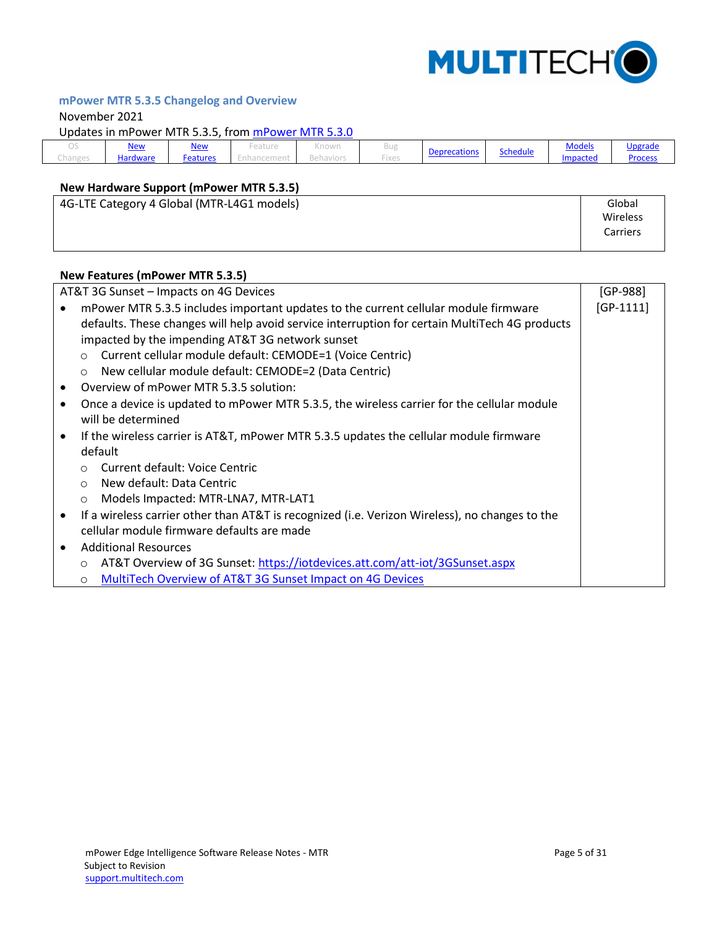

# <span id="page-4-0"></span>**mPower MTR 5.3.5 Changelog and Overview**

#### November 2021

Updates in mPower MTR 5.3.5, from [mPower MTR 5.3.0](#page-9-0)

|         | New      | <u>New</u> | -eature | $\sim$ $\sim$ $\sim$<br>NTIOWIT | $\sim$          |                     |          | <b>Models</b> | Ungrade        |
|---------|----------|------------|---------|---------------------------------|-----------------|---------------------|----------|---------------|----------------|
| Changes | Hardware | Features   |         | DEIIdviui:                      | and it<br>-ixes | <b>Deprecations</b> | Schedule | Impacted      | <b>Process</b> |

# <span id="page-4-1"></span>**New Hardware Support (mPower MTR 5.3.5)**

| 4G-LTE Category 4 Global (MTR-L4G1 models) | Global   |
|--------------------------------------------|----------|
|                                            | Wireless |
|                                            | Carriers |
|                                            |          |

#### <span id="page-4-2"></span>**New Features (mPower MTR 5.3.5)**

|                                            | AT&T 3G Sunset - Impacts on 4G Devices                                                         | $[GP-988]$  |  |  |  |  |  |  |
|--------------------------------------------|------------------------------------------------------------------------------------------------|-------------|--|--|--|--|--|--|
|                                            | mPower MTR 5.3.5 includes important updates to the current cellular module firmware            | $[GP-1111]$ |  |  |  |  |  |  |
|                                            | defaults. These changes will help avoid service interruption for certain MultiTech 4G products |             |  |  |  |  |  |  |
|                                            | impacted by the impending AT&T 3G network sunset                                               |             |  |  |  |  |  |  |
|                                            | Current cellular module default: CEMODE=1 (Voice Centric)<br>$\circ$                           |             |  |  |  |  |  |  |
|                                            | New cellular module default: CEMODE=2 (Data Centric)<br>$\circ$                                |             |  |  |  |  |  |  |
|                                            | Overview of mPower MTR 5.3.5 solution:                                                         |             |  |  |  |  |  |  |
| ٠                                          | Once a device is updated to mPower MTR 5.3.5, the wireless carrier for the cellular module     |             |  |  |  |  |  |  |
|                                            | will be determined                                                                             |             |  |  |  |  |  |  |
| $\bullet$                                  | If the wireless carrier is AT&T, mPower MTR 5.3.5 updates the cellular module firmware         |             |  |  |  |  |  |  |
|                                            | default                                                                                        |             |  |  |  |  |  |  |
|                                            | Current default: Voice Centric<br>$\circ$                                                      |             |  |  |  |  |  |  |
|                                            | New default: Data Centric<br>$\circ$                                                           |             |  |  |  |  |  |  |
|                                            | Models Impacted: MTR-LNA7, MTR-LAT1<br>$\circ$                                                 |             |  |  |  |  |  |  |
|                                            | If a wireless carrier other than AT&T is recognized (i.e. Verizon Wireless), no changes to the |             |  |  |  |  |  |  |
| cellular module firmware defaults are made |                                                                                                |             |  |  |  |  |  |  |
|                                            | <b>Additional Resources</b>                                                                    |             |  |  |  |  |  |  |
|                                            | AT&T Overview of 3G Sunset: https://iotdevices.att.com/att-iot/3GSunset.aspx<br>$\circ$        |             |  |  |  |  |  |  |
|                                            | MultiTech Overview of AT&T 3G Sunset Impact on 4G Devices<br>$\circ$                           |             |  |  |  |  |  |  |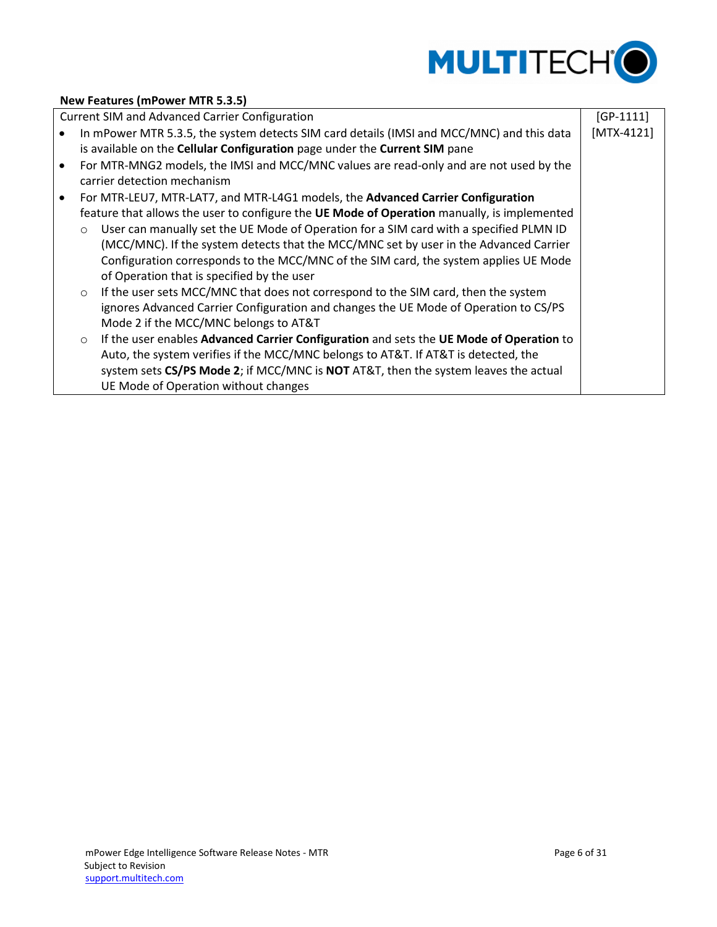

## **New Features (mPower MTR 5.3.5)**

|           |         | <b>Current SIM and Advanced Carrier Configuration</b>                                       | $[GP-1111]$  |
|-----------|---------|---------------------------------------------------------------------------------------------|--------------|
|           |         | In mPower MTR 5.3.5, the system detects SIM card details (IMSI and MCC/MNC) and this data   | $[MTX-4121]$ |
|           |         | is available on the Cellular Configuration page under the Current SIM pane                  |              |
| $\bullet$ |         | For MTR-MNG2 models, the IMSI and MCC/MNC values are read-only and are not used by the      |              |
|           |         | carrier detection mechanism                                                                 |              |
| $\bullet$ |         | For MTR-LEU7, MTR-LAT7, and MTR-L4G1 models, the Advanced Carrier Configuration             |              |
|           |         | feature that allows the user to configure the UE Mode of Operation manually, is implemented |              |
|           | $\circ$ | User can manually set the UE Mode of Operation for a SIM card with a specified PLMN ID      |              |
|           |         | (MCC/MNC). If the system detects that the MCC/MNC set by user in the Advanced Carrier       |              |
|           |         | Configuration corresponds to the MCC/MNC of the SIM card, the system applies UE Mode        |              |
|           |         | of Operation that is specified by the user                                                  |              |
|           | $\circ$ | If the user sets MCC/MNC that does not correspond to the SIM card, then the system          |              |
|           |         | ignores Advanced Carrier Configuration and changes the UE Mode of Operation to CS/PS        |              |
|           |         | Mode 2 if the MCC/MNC belongs to AT&T                                                       |              |
|           | $\circ$ | If the user enables Advanced Carrier Configuration and sets the UE Mode of Operation to     |              |
|           |         | Auto, the system verifies if the MCC/MNC belongs to AT&T. If AT&T is detected, the          |              |
|           |         | system sets CS/PS Mode 2; if MCC/MNC is NOT AT&T, then the system leaves the actual         |              |
|           |         | UE Mode of Operation without changes                                                        |              |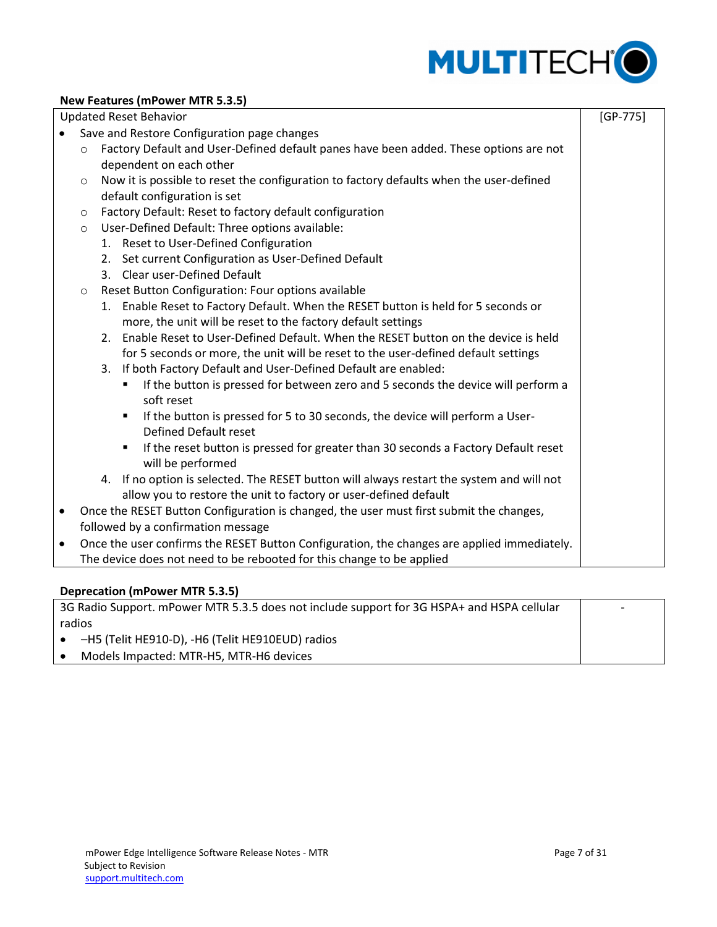

## **New Features (mPower MTR 5.3.5)**

|           |                                                                                                 | <b>Updated Reset Behavior</b>                                                                                 | $[GP-775]$ |  |  |  |  |
|-----------|-------------------------------------------------------------------------------------------------|---------------------------------------------------------------------------------------------------------------|------------|--|--|--|--|
|           |                                                                                                 | Save and Restore Configuration page changes                                                                   |            |  |  |  |  |
|           | $\circ$                                                                                         | Factory Default and User-Defined default panes have been added. These options are not                         |            |  |  |  |  |
|           |                                                                                                 | dependent on each other                                                                                       |            |  |  |  |  |
|           | $\circ$                                                                                         | Now it is possible to reset the configuration to factory defaults when the user-defined                       |            |  |  |  |  |
|           |                                                                                                 | default configuration is set                                                                                  |            |  |  |  |  |
|           | $\circ$                                                                                         | Factory Default: Reset to factory default configuration                                                       |            |  |  |  |  |
|           | $\circ$                                                                                         | User-Defined Default: Three options available:                                                                |            |  |  |  |  |
|           |                                                                                                 | 1. Reset to User-Defined Configuration                                                                        |            |  |  |  |  |
|           |                                                                                                 | 2. Set current Configuration as User-Defined Default                                                          |            |  |  |  |  |
|           |                                                                                                 | 3. Clear user-Defined Default                                                                                 |            |  |  |  |  |
|           | $\circ$                                                                                         | Reset Button Configuration: Four options available                                                            |            |  |  |  |  |
|           |                                                                                                 | 1. Enable Reset to Factory Default. When the RESET button is held for 5 seconds or                            |            |  |  |  |  |
|           |                                                                                                 | more, the unit will be reset to the factory default settings                                                  |            |  |  |  |  |
|           |                                                                                                 | Enable Reset to User-Defined Default. When the RESET button on the device is held<br>2.                       |            |  |  |  |  |
|           | for 5 seconds or more, the unit will be reset to the user-defined default settings              |                                                                                                               |            |  |  |  |  |
|           | 3. If both Factory Default and User-Defined Default are enabled:                                |                                                                                                               |            |  |  |  |  |
|           | If the button is pressed for between zero and 5 seconds the device will perform a<br>soft reset |                                                                                                               |            |  |  |  |  |
|           |                                                                                                 | If the button is pressed for 5 to 30 seconds, the device will perform a User-<br><b>Defined Default reset</b> |            |  |  |  |  |
|           |                                                                                                 | If the reset button is pressed for greater than 30 seconds a Factory Default reset<br>will be performed       |            |  |  |  |  |
|           | 4. If no option is selected. The RESET button will always restart the system and will not       |                                                                                                               |            |  |  |  |  |
|           | allow you to restore the unit to factory or user-defined default                                |                                                                                                               |            |  |  |  |  |
| $\bullet$ |                                                                                                 | Once the RESET Button Configuration is changed, the user must first submit the changes,                       |            |  |  |  |  |
|           |                                                                                                 | followed by a confirmation message                                                                            |            |  |  |  |  |
| $\bullet$ |                                                                                                 | Once the user confirms the RESET Button Configuration, the changes are applied immediately.                   |            |  |  |  |  |
|           |                                                                                                 | The device does not need to be rebooted for this change to be applied                                         |            |  |  |  |  |

## <span id="page-6-0"></span>**Deprecation (mPower MTR 5.3.5)**

3G Radio Support. mPower MTR 5.3.5 does not include support for 3G HSPA+ and HSPA cellular radios –H5 (Telit HE910-D), -H6 (Telit HE910EUD) radios Models Impacted: MTR-H5, MTR-H6 devices -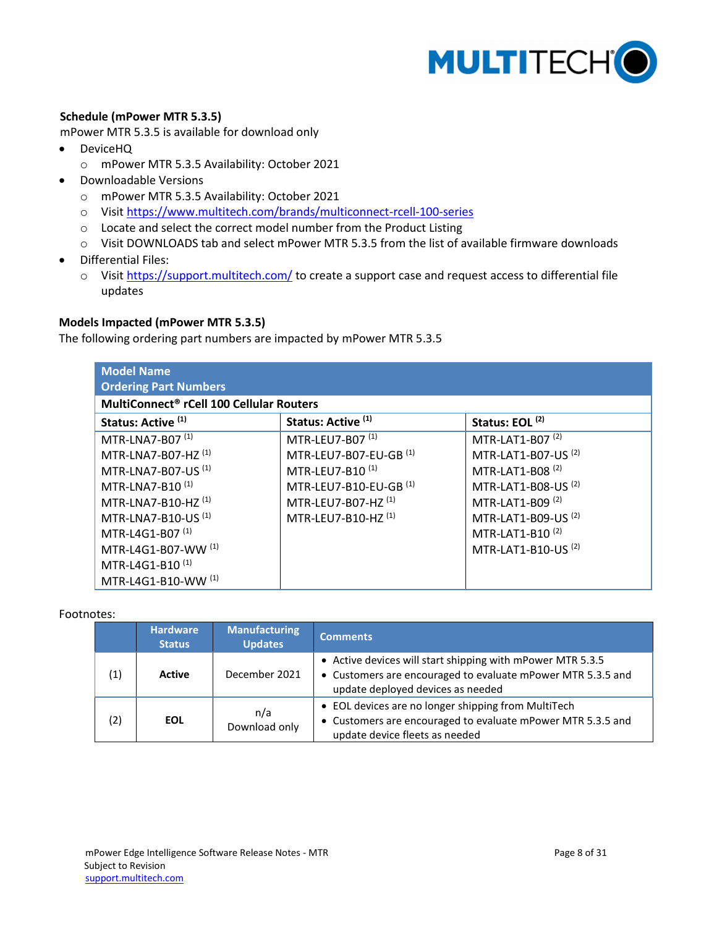

## <span id="page-7-0"></span>**Schedule (mPower MTR 5.3.5)**

mPower MTR 5.3.5 is available for download only

- DeviceHQ
	- o mPower MTR 5.3.5 Availability: October 2021
- Downloadable Versions
	- o mPower MTR 5.3.5 Availability: October 2021
	- o Visit<https://www.multitech.com/brands/multiconnect-rcell-100-series>
	- o Locate and select the correct model number from the Product Listing
	- o Visit DOWNLOADS tab and select mPower MTR 5.3.5 from the list of available firmware downloads
- Differential Files:
	- o Visit<https://support.multitech.com/> to create a support case and request access to differential file updates

#### <span id="page-7-1"></span>**Models Impacted (mPower MTR 5.3.5)**

The following ordering part numbers are impacted by mPower MTR 5.3.5

| <b>Model Name</b><br><b>Ordering Part Numbers</b>    |                                   |                                |  |  |  |  |
|------------------------------------------------------|-----------------------------------|--------------------------------|--|--|--|--|
| MultiConnect <sup>®</sup> rCell 100 Cellular Routers |                                   |                                |  |  |  |  |
| Status: Active <sup>(1)</sup>                        | Status: Active <sup>(1)</sup>     | Status: EOL <sup>(2)</sup>     |  |  |  |  |
| MTR-LNA7-B07 (1)                                     | MTR-LEU7-B07 <sup>(1)</sup>       | MTR-LAT1-B07 <sup>(2)</sup>    |  |  |  |  |
| MTR-LNA7-B07-HZ <sup>(1)</sup>                       | MTR-LEU7-B07-EU-GB (1)            | MTR-LAT1-B07-US <sup>(2)</sup> |  |  |  |  |
| MTR-LNA7-B07-US <sup>(1)</sup>                       | MTR-LEU7-B10 <sup>(1)</sup>       | MTR-LAT1-B08 <sup>(2)</sup>    |  |  |  |  |
| MTR-LNA7-B10 <sup>(1)</sup>                          | MTR-LEU7-B10-EU-GB <sup>(1)</sup> | MTR-LAT1-B08-US <sup>(2)</sup> |  |  |  |  |
| MTR-LNA7-B10-HZ <sup>(1)</sup>                       | MTR-LEU7-B07-HZ <sup>(1)</sup>    | MTR-LAT1-B09 <sup>(2)</sup>    |  |  |  |  |
| MTR-LNA7-B10-US <sup>(1)</sup>                       | MTR-LEU7-B10-HZ <sup>(1)</sup>    | MTR-LAT1-B09-US <sup>(2)</sup> |  |  |  |  |
| MTR-L4G1-B07 <sup>(1)</sup>                          |                                   | MTR-LAT1-B10 <sup>(2)</sup>    |  |  |  |  |
| MTR-L4G1-B07-WW (1)                                  |                                   | MTR-LAT1-B10-US <sup>(2)</sup> |  |  |  |  |
| MTR-L4G1-B10 <sup>(1)</sup>                          |                                   |                                |  |  |  |  |
| MTR-L4G1-B10-WW (1)                                  |                                   |                                |  |  |  |  |

#### Footnotes:

|     | <b>Hardware</b><br><b>Status</b>   | <b>Manufacturing</b><br><b>Updates</b> | <b>Comments</b>                                                                                                                                                |
|-----|------------------------------------|----------------------------------------|----------------------------------------------------------------------------------------------------------------------------------------------------------------|
| (1) | <b>Active</b>                      | December 2021                          | • Active devices will start shipping with mPower MTR 5.3.5<br>• Customers are encouraged to evaluate mPower MTR 5.3.5 and<br>update deployed devices as needed |
| (2) | n/a<br><b>EOL</b><br>Download only |                                        | • EOL devices are no longer shipping from MultiTech<br>• Customers are encouraged to evaluate mPower MTR 5.3.5 and<br>update device fleets as needed           |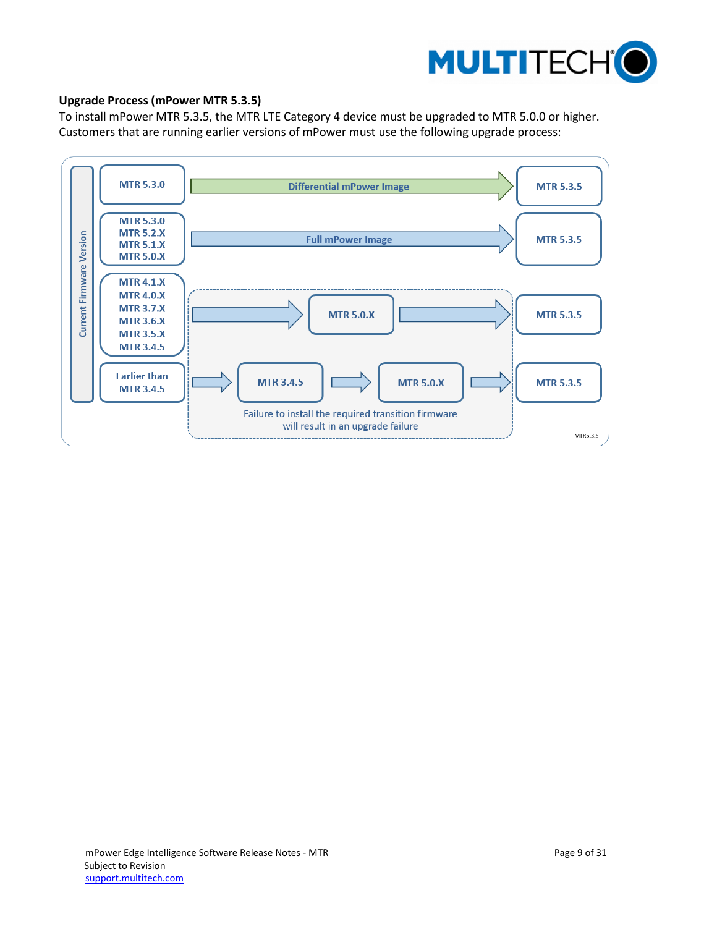

## <span id="page-8-0"></span>**Upgrade Process (mPower MTR 5.3.5)**

To install mPower MTR 5.3.5, the MTR LTE Category 4 device must be upgraded to MTR 5.0.0 or higher. Customers that are running earlier versions of mPower must use the following upgrade process:

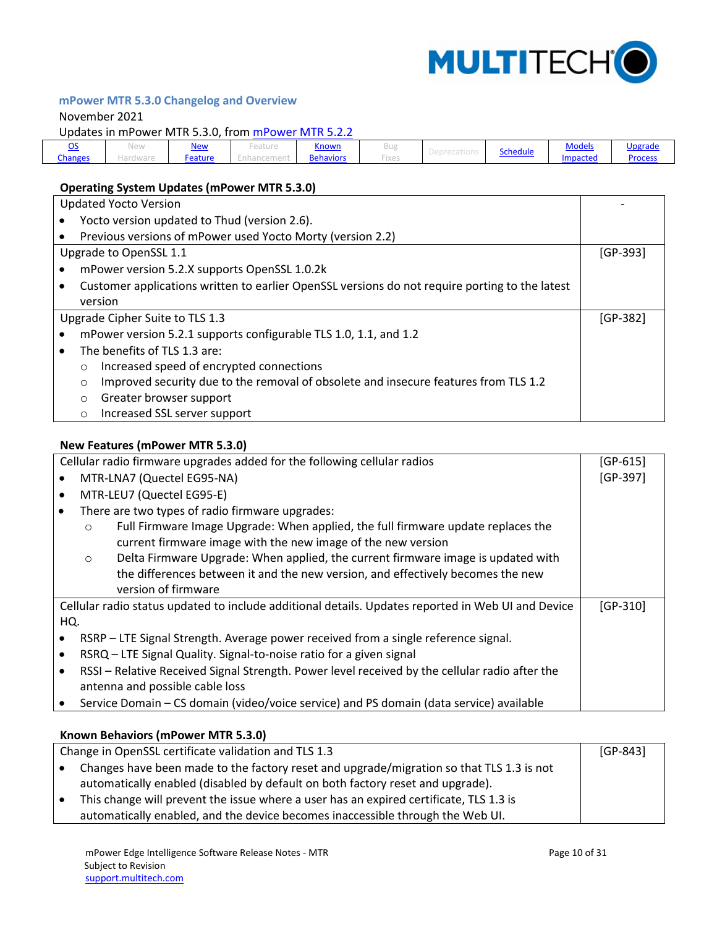

# <span id="page-9-0"></span>**mPower MTR 5.3.0 Changelog and Overview**

### November 2021

Updates in mPower MTR 5.3.0, from [mPower MTR 5.2.2](#page-13-0)

| $\tilde{\phantom{a}}$ | ۱۵۱<br>INCAN | <u>New</u> | ------<br>.earnie | <b>Known</b>     |                   |          | <b>Models</b> | <u>Upgrade</u> |
|-----------------------|--------------|------------|-------------------|------------------|-------------------|----------|---------------|----------------|
| <b>Changes</b>        | 191 V V V 91 | Feature    |                   | <b>Behaviors</b> | $\cdots$<br>-ixes | Schedule | Impacted      | Process        |

# <span id="page-9-1"></span>**Operating System Updates (mPower MTR 5.3.0)**

| <b>Updated Yocto Version</b>    |                                                                  |                                                                                                |  |  |  |  |
|---------------------------------|------------------------------------------------------------------|------------------------------------------------------------------------------------------------|--|--|--|--|
|                                 | Yocto version updated to Thud (version 2.6).                     |                                                                                                |  |  |  |  |
|                                 |                                                                  | Previous versions of mPower used Yocto Morty (version 2.2)                                     |  |  |  |  |
| Upgrade to OpenSSL 1.1          |                                                                  |                                                                                                |  |  |  |  |
|                                 |                                                                  | mPower version 5.2.X supports OpenSSL 1.0.2k                                                   |  |  |  |  |
|                                 |                                                                  | Customer applications written to earlier OpenSSL versions do not require porting to the latest |  |  |  |  |
|                                 |                                                                  | version                                                                                        |  |  |  |  |
| Upgrade Cipher Suite to TLS 1.3 |                                                                  |                                                                                                |  |  |  |  |
|                                 | mPower version 5.2.1 supports configurable TLS 1.0, 1.1, and 1.2 |                                                                                                |  |  |  |  |
|                                 |                                                                  |                                                                                                |  |  |  |  |
|                                 |                                                                  | The benefits of TLS 1.3 are:                                                                   |  |  |  |  |
|                                 | $\circ$                                                          | Increased speed of encrypted connections                                                       |  |  |  |  |
|                                 | $\circ$                                                          | Improved security due to the removal of obsolete and insecure features from TLS 1.2            |  |  |  |  |
|                                 | $\circ$                                                          | Greater browser support                                                                        |  |  |  |  |

#### <span id="page-9-2"></span>**New Features (mPower MTR 5.3.0)**

|     |                                                                                                | Cellular radio firmware upgrades added for the following cellular radios                           | $[GP-615]$ |  |  |
|-----|------------------------------------------------------------------------------------------------|----------------------------------------------------------------------------------------------------|------------|--|--|
|     | MTR-LNA7 (Quectel EG95-NA)                                                                     |                                                                                                    |            |  |  |
|     |                                                                                                | MTR-LEU7 (Quectel EG95-E)                                                                          |            |  |  |
|     |                                                                                                | There are two types of radio firmware upgrades:                                                    |            |  |  |
|     | $\circ$                                                                                        | Full Firmware Image Upgrade: When applied, the full firmware update replaces the                   |            |  |  |
|     |                                                                                                | current firmware image with the new image of the new version                                       |            |  |  |
|     | $\circ$                                                                                        | Delta Firmware Upgrade: When applied, the current firmware image is updated with                   |            |  |  |
|     |                                                                                                | the differences between it and the new version, and effectively becomes the new                    |            |  |  |
|     |                                                                                                | version of firmware                                                                                |            |  |  |
|     |                                                                                                | Cellular radio status updated to include additional details. Updates reported in Web UI and Device | $[GP-310]$ |  |  |
| HQ. |                                                                                                |                                                                                                    |            |  |  |
|     |                                                                                                | RSRP – LTE Signal Strength. Average power received from a single reference signal.                 |            |  |  |
|     | RSRQ - LTE Signal Quality. Signal-to-noise ratio for a given signal                            |                                                                                                    |            |  |  |
|     | RSSI - Relative Received Signal Strength. Power level received by the cellular radio after the |                                                                                                    |            |  |  |
|     |                                                                                                | antenna and possible cable loss                                                                    |            |  |  |
|     |                                                                                                | Service Domain - CS domain (video/voice service) and PS domain (data service) available            |            |  |  |

# <span id="page-9-3"></span>**Known Behaviors (mPower MTR 5.3.0)**

|           | Change in OpenSSL certificate validation and TLS 1.3                                     | $[GP-843]$ |
|-----------|------------------------------------------------------------------------------------------|------------|
| $\bullet$ | Changes have been made to the factory reset and upgrade/migration so that TLS 1.3 is not |            |
|           | automatically enabled (disabled by default on both factory reset and upgrade).           |            |
| $\bullet$ | This change will prevent the issue where a user has an expired certificate, TLS 1.3 is   |            |
|           | automatically enabled, and the device becomes inaccessible through the Web UI.           |            |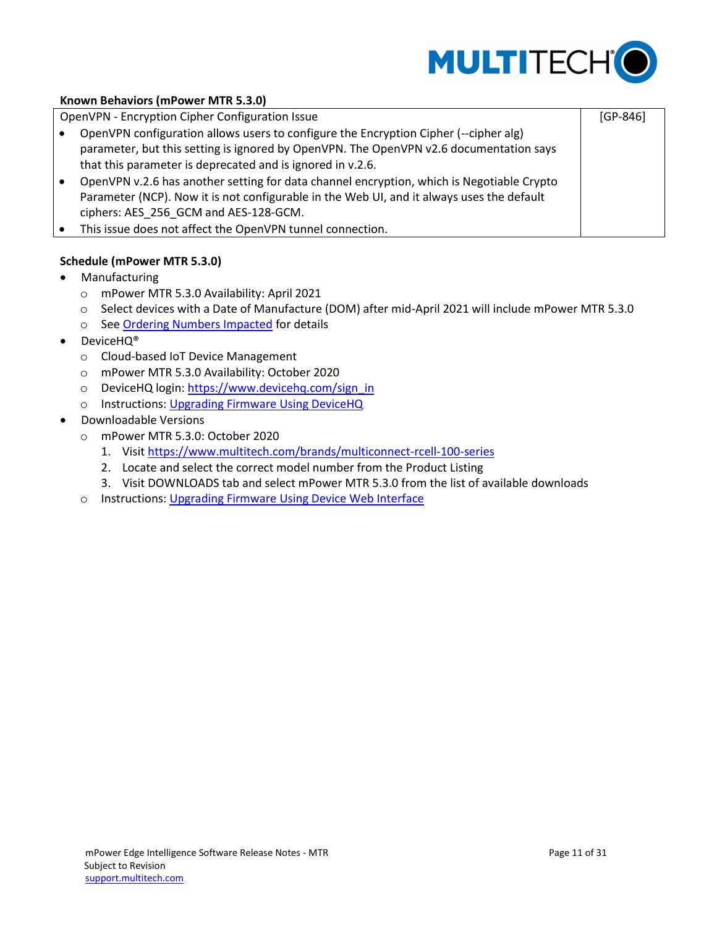

[GP-846]

## **Known Behaviors (mPower MTR 5.3.0)**

OpenVPN - Encryption Cipher Configuration Issue

- OpenVPN configuration allows users to configure the Encryption Cipher (--cipher alg) parameter, but this setting is ignored by OpenVPN. The OpenVPN v2.6 documentation says that this parameter is deprecated and is ignored in v.2.6.
- OpenVPN v.2.6 has another setting for data channel encryption, which is Negotiable Crypto Parameter (NCP). Now it is not configurable in the Web UI, and it always uses the default ciphers: AES\_256\_GCM and AES-128-GCM.
- This issue does not affect the OpenVPN tunnel connection.

## <span id="page-10-0"></span>**Schedule (mPower MTR 5.3.0)**

- Manufacturing
	- o mPower MTR 5.3.0 Availability: April 2021
	- o Select devices with a Date of Manufacture (DOM) after mid-April 2021 will include mPower MTR 5.3.0
	- o See Ordering Numbers Impacted for details
- DeviceHQ®
	- o Cloud-based IoT Device Management
	- o mPower MTR 5.3.0 Availability: October 2020
	- o DeviceHQ login: [https://www.devicehq.com/sign\\_in](https://www.devicehq.com/sign_in)
	- o Instructions: Upgrading Firmware Using DeviceHQ
- Downloadable Versions
	- o mPower MTR 5.3.0: October 2020
		- 1. Visit<https://www.multitech.com/brands/multiconnect-rcell-100-series>
		- 2. Locate and select the correct model number from the Product Listing
		- 3. Visit DOWNLOADS tab and select mPower MTR 5.3.0 from the list of available downloads
	- o Instructions: Upgrading Firmware Using Device Web Interface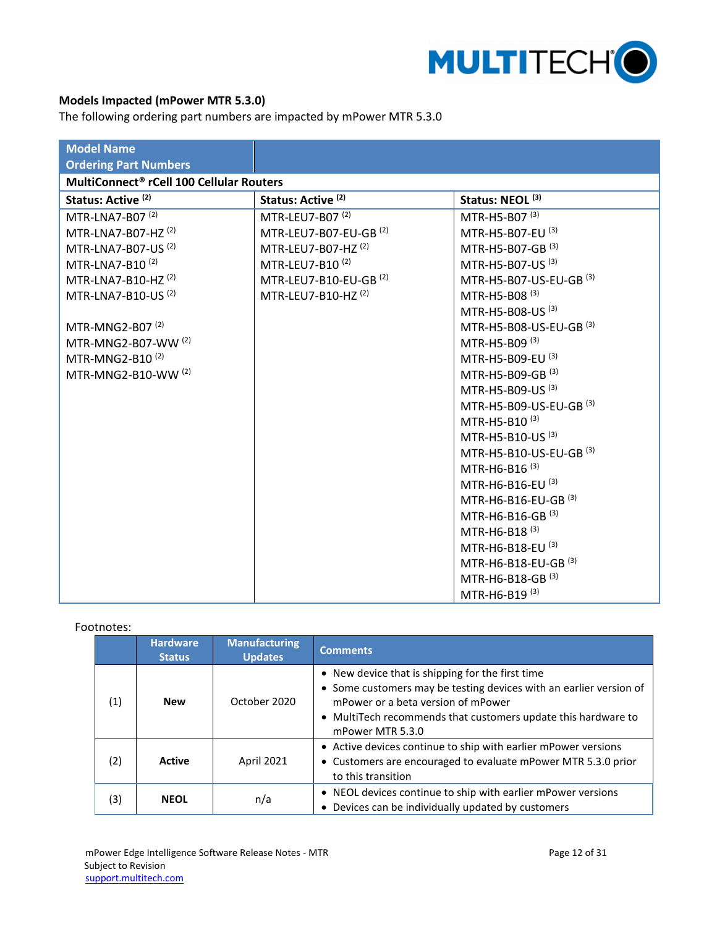

# <span id="page-11-0"></span>**Models Impacted (mPower MTR 5.3.0)**

The following ordering part numbers are impacted by mPower MTR 5.3.0

| <b>Model Name</b>                                    |                                   |                                    |
|------------------------------------------------------|-----------------------------------|------------------------------------|
| <b>Ordering Part Numbers</b>                         |                                   |                                    |
| MultiConnect <sup>®</sup> rCell 100 Cellular Routers |                                   |                                    |
| Status: Active <sup>(2)</sup>                        | Status: Active <sup>(2)</sup>     | Status: NEOL <sup>(3)</sup>        |
| MTR-LNA7-B07 <sup>(2)</sup>                          | MTR-LEU7-B07 <sup>(2)</sup>       | MTR-H5-B07 <sup>(3)</sup>          |
| MTR-LNA7-B07-HZ <sup>(2)</sup>                       | MTR-LEU7-B07-EU-GB <sup>(2)</sup> | MTR-H5-B07-EU (3)                  |
| MTR-LNA7-B07-US <sup>(2)</sup>                       | MTR-LEU7-B07-HZ <sup>(2)</sup>    | MTR-H5-B07-GB <sup>(3)</sup>       |
| MTR-LNA7-B10 <sup>(2)</sup>                          | MTR-LEU7-B10 <sup>(2)</sup>       | MTR-H5-B07-US <sup>(3)</sup>       |
| MTR-LNA7-B10-HZ <sup>(2)</sup>                       | MTR-LEU7-B10-EU-GB <sup>(2)</sup> | MTR-H5-B07-US-EU-GB (3)            |
| MTR-LNA7-B10-US <sup>(2)</sup>                       | MTR-LEU7-B10-HZ <sup>(2)</sup>    | MTR-H5-B08 (3)                     |
|                                                      |                                   | MTR-H5-B08-US <sup>(3)</sup>       |
| MTR-MNG2-B07 <sup>(2)</sup>                          |                                   | MTR-H5-B08-US-EU-GB <sup>(3)</sup> |
| MTR-MNG2-B07-WW (2)                                  |                                   | MTR-H5-B09 <sup>(3)</sup>          |
| MTR-MNG2-B10 $(2)$                                   |                                   | MTR-H5-B09-EU <sup>(3)</sup>       |
| MTR-MNG2-B10-WW (2)                                  |                                   | MTR-H5-B09-GB <sup>(3)</sup>       |
|                                                      |                                   | MTR-H5-B09-US (3)                  |
|                                                      |                                   | MTR-H5-B09-US-EU-GB (3)            |
|                                                      |                                   | MTR-H5-B10 <sup>(3)</sup>          |
|                                                      |                                   | MTR-H5-B10-US <sup>(3)</sup>       |
|                                                      |                                   | MTR-H5-B10-US-EU-GB (3)            |
|                                                      |                                   | MTR-H6-B16 <sup>(3)</sup>          |
|                                                      |                                   | MTR-H6-B16-EU <sup>(3)</sup>       |
|                                                      |                                   | MTR-H6-B16-EU-GB (3)               |
|                                                      |                                   | MTR-H6-B16-GB <sup>(3)</sup>       |
|                                                      |                                   | MTR-H6-B18 <sup>(3)</sup>          |
|                                                      |                                   | MTR-H6-B18-EU (3)                  |
|                                                      |                                   | MTR-H6-B18-EU-GB (3)               |
|                                                      |                                   | MTR-H6-B18-GB <sup>(3)</sup>       |
|                                                      |                                   | MTR-H6-B19 <sup>(3)</sup>          |

## Footnotes:

|                    | <b>Hardware</b><br><b>Status</b> | <b>Manufacturing</b><br><b>Updates</b> | <b>Comments</b>                                                                                                                                                                                                                                   |
|--------------------|----------------------------------|----------------------------------------|---------------------------------------------------------------------------------------------------------------------------------------------------------------------------------------------------------------------------------------------------|
| (1)                | <b>New</b>                       | October 2020                           | • New device that is shipping for the first time<br>• Some customers may be testing devices with an earlier version of<br>mPower or a beta version of mPower<br>• MultiTech recommends that customers update this hardware to<br>mPower MTR 5.3.0 |
| (2)                | <b>Active</b>                    | April 2021                             | • Active devices continue to ship with earlier mPower versions<br>• Customers are encouraged to evaluate mPower MTR 5.3.0 prior<br>to this transition                                                                                             |
| (3)<br><b>NEOL</b> |                                  | n/a                                    | • NEOL devices continue to ship with earlier mPower versions<br>Devices can be individually updated by customers                                                                                                                                  |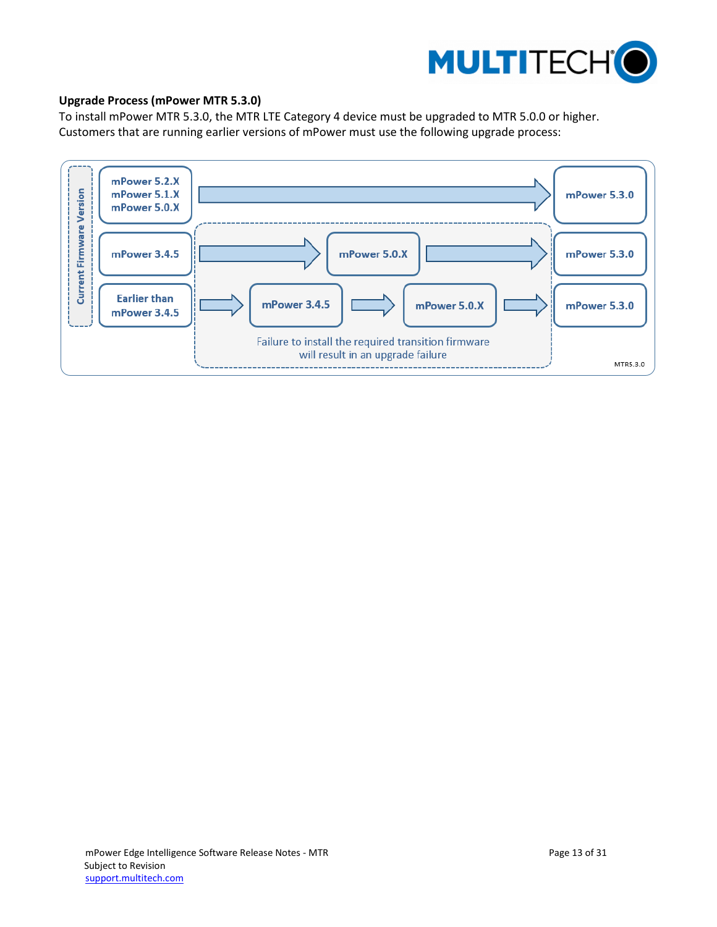

## <span id="page-12-0"></span>**Upgrade Process (mPower MTR 5.3.0)**

To install mPower MTR 5.3.0, the MTR LTE Category 4 device must be upgraded to MTR 5.0.0 or higher. Customers that are running earlier versions of mPower must use the following upgrade process:

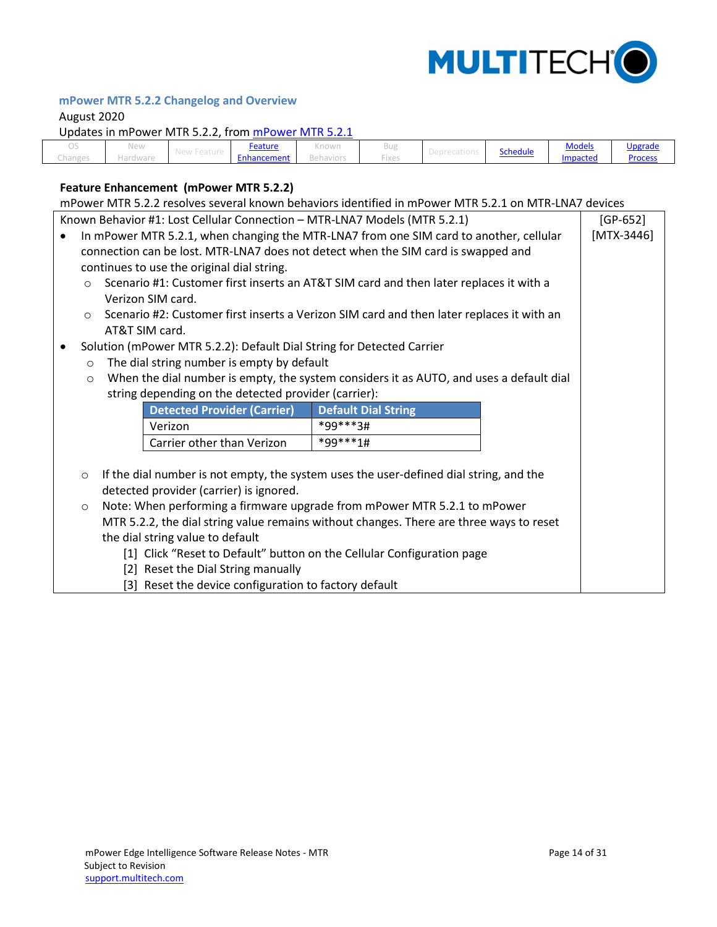

# <span id="page-13-0"></span>**mPower MTR 5.2.2 Changelog and Overview**

## August 2020

Updates in mPower MTR 5.2.2, from [mPower MTR 5.2.1](#page-16-0)

|         | New          | <u>Feature</u> | .<br>ntuwit |                   |          | <b>Models</b> | <u>Upgrade</u> |
|---------|--------------|----------------|-------------|-------------------|----------|---------------|----------------|
| unanger | 191 V V V 91 | Enhancement    | Roh"        | $\cdots$<br>rixes | Schedule | Impacted      | Process        |

# <span id="page-13-1"></span>**Feature Enhancement (mPower MTR 5.2.2)**

| mPower MTR 5.2.2 resolves several known behaviors identified in mPower MTR 5.2.1 on MTR-LNA7 devices                |                                                                                           |            |  |  |  |  |  |
|---------------------------------------------------------------------------------------------------------------------|-------------------------------------------------------------------------------------------|------------|--|--|--|--|--|
| Known Behavior #1: Lost Cellular Connection - MTR-LNA7 Models (MTR 5.2.1)                                           |                                                                                           | $[GP-652]$ |  |  |  |  |  |
| In mPower MTR 5.2.1, when changing the MTR-LNA7 from one SIM card to another, cellular<br>$[MTX-3446]$<br>$\bullet$ |                                                                                           |            |  |  |  |  |  |
| connection can be lost. MTR-LNA7 does not detect when the SIM card is swapped and                                   |                                                                                           |            |  |  |  |  |  |
| continues to use the original dial string.                                                                          |                                                                                           |            |  |  |  |  |  |
| $\circ$                                                                                                             | Scenario #1: Customer first inserts an AT&T SIM card and then later replaces it with a    |            |  |  |  |  |  |
| Verizon SIM card.                                                                                                   |                                                                                           |            |  |  |  |  |  |
| $\circ$                                                                                                             | Scenario #2: Customer first inserts a Verizon SIM card and then later replaces it with an |            |  |  |  |  |  |
| AT&T SIM card.                                                                                                      |                                                                                           |            |  |  |  |  |  |
| Solution (mPower MTR 5.2.2): Default Dial String for Detected Carrier<br>$\bullet$                                  |                                                                                           |            |  |  |  |  |  |
| The dial string number is empty by default<br>$\circ$                                                               |                                                                                           |            |  |  |  |  |  |
| $\circ$                                                                                                             | When the dial number is empty, the system considers it as AUTO, and uses a default dial   |            |  |  |  |  |  |
| string depending on the detected provider (carrier):                                                                |                                                                                           |            |  |  |  |  |  |
| <b>Detected Provider (Carrier)</b>                                                                                  | <b>Default Dial String</b>                                                                |            |  |  |  |  |  |
| Verizon                                                                                                             | *99***3#                                                                                  |            |  |  |  |  |  |
| Carrier other than Verizon                                                                                          | *99***1#                                                                                  |            |  |  |  |  |  |
|                                                                                                                     |                                                                                           |            |  |  |  |  |  |
| $\circ$                                                                                                             | If the dial number is not empty, the system uses the user-defined dial string, and the    |            |  |  |  |  |  |
| detected provider (carrier) is ignored.                                                                             |                                                                                           |            |  |  |  |  |  |
| Note: When performing a firmware upgrade from mPower MTR 5.2.1 to mPower<br>$\circ$                                 |                                                                                           |            |  |  |  |  |  |
| MTR 5.2.2, the dial string value remains without changes. There are three ways to reset                             |                                                                                           |            |  |  |  |  |  |
| the dial string value to default                                                                                    |                                                                                           |            |  |  |  |  |  |
| [1] Click "Reset to Default" button on the Cellular Configuration page                                              |                                                                                           |            |  |  |  |  |  |
| [2] Reset the Dial String manually                                                                                  |                                                                                           |            |  |  |  |  |  |
| [3] Reset the device configuration to factory default                                                               |                                                                                           |            |  |  |  |  |  |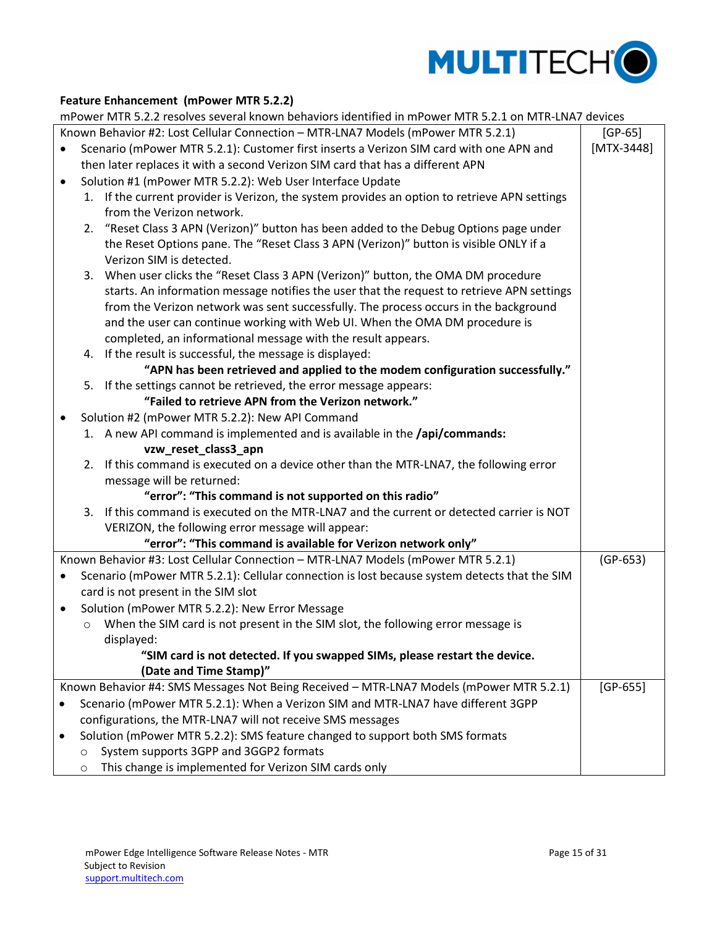

## **Feature Enhancement (mPower MTR 5.2.2)**

mPower MTR 5.2.2 resolves several known behaviors identified in mPower MTR 5.2.1 on MTR-LNA7 devices

|           |         | mPower MTR 5.2.2 resolves several known behaviors identified in mPower MTR 5.2.1 on MTR-LNA7 devices              |              |
|-----------|---------|-------------------------------------------------------------------------------------------------------------------|--------------|
|           |         | Known Behavior #2: Lost Cellular Connection - MTR-LNA7 Models (mPower MTR 5.2.1)                                  | $[GP-65]$    |
|           |         | Scenario (mPower MTR 5.2.1): Customer first inserts a Verizon SIM card with one APN and                           | $[MTX-3448]$ |
|           |         | then later replaces it with a second Verizon SIM card that has a different APN                                    |              |
| $\bullet$ |         | Solution #1 (mPower MTR 5.2.2): Web User Interface Update                                                         |              |
|           |         | 1. If the current provider is Verizon, the system provides an option to retrieve APN settings                     |              |
|           |         | from the Verizon network.                                                                                         |              |
|           |         | 2. "Reset Class 3 APN (Verizon)" button has been added to the Debug Options page under                            |              |
|           |         | the Reset Options pane. The "Reset Class 3 APN (Verizon)" button is visible ONLY if a                             |              |
|           |         | Verizon SIM is detected.                                                                                          |              |
|           |         | 3. When user clicks the "Reset Class 3 APN (Verizon)" button, the OMA DM procedure                                |              |
|           |         | starts. An information message notifies the user that the request to retrieve APN settings                        |              |
|           |         | from the Verizon network was sent successfully. The process occurs in the background                              |              |
|           |         | and the user can continue working with Web UI. When the OMA DM procedure is                                       |              |
|           |         | completed, an informational message with the result appears.                                                      |              |
|           |         | 4. If the result is successful, the message is displayed:                                                         |              |
|           |         | "APN has been retrieved and applied to the modem configuration successfully."                                     |              |
|           |         | 5. If the settings cannot be retrieved, the error message appears:                                                |              |
|           |         | "Failed to retrieve APN from the Verizon network."                                                                |              |
| ٠         |         | Solution #2 (mPower MTR 5.2.2): New API Command                                                                   |              |
|           |         | 1. A new API command is implemented and is available in the /api/commands:                                        |              |
|           |         | vzw_reset_class3_apn                                                                                              |              |
|           |         | 2. If this command is executed on a device other than the MTR-LNA7, the following error                           |              |
|           |         | message will be returned:                                                                                         |              |
|           |         | "error": "This command is not supported on this radio"                                                            |              |
|           |         | 3. If this command is executed on the MTR-LNA7 and the current or detected carrier is NOT                         |              |
|           |         | VERIZON, the following error message will appear:                                                                 |              |
|           |         | "error": "This command is available for Verizon network only"                                                     |              |
|           |         | Known Behavior #3: Lost Cellular Connection - MTR-LNA7 Models (mPower MTR 5.2.1)                                  | $(GP-653)$   |
| $\bullet$ |         | Scenario (mPower MTR 5.2.1): Cellular connection is lost because system detects that the SIM                      |              |
|           |         | card is not present in the SIM slot                                                                               |              |
| $\bullet$ |         | Solution (mPower MTR 5.2.2): New Error Message                                                                    |              |
|           | $\circ$ | When the SIM card is not present in the SIM slot, the following error message is                                  |              |
|           |         | displayed:                                                                                                        |              |
|           |         | "SIM card is not detected. If you swapped SIMs, please restart the device.                                        |              |
|           |         | (Date and Time Stamp)"<br>Known Behavior #4: SMS Messages Not Being Received - MTR-LNA7 Models (mPower MTR 5.2.1) |              |
|           |         | Scenario (mPower MTR 5.2.1): When a Verizon SIM and MTR-LNA7 have different 3GPP                                  | $[GP-655]$   |
|           |         |                                                                                                                   |              |
|           |         | configurations, the MTR-LNA7 will not receive SMS messages                                                        |              |
| ٠         |         | Solution (mPower MTR 5.2.2): SMS feature changed to support both SMS formats                                      |              |
|           | $\circ$ | System supports 3GPP and 3GGP2 formats                                                                            |              |
|           | $\circ$ | This change is implemented for Verizon SIM cards only                                                             |              |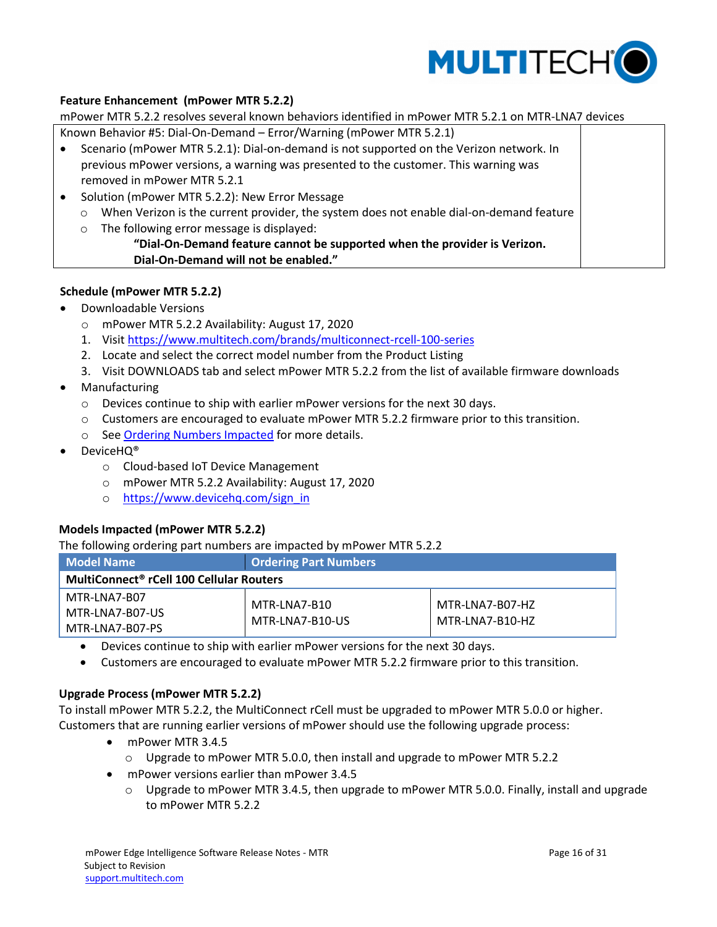

## **Feature Enhancement (mPower MTR 5.2.2)**

mPower MTR 5.2.2 resolves several known behaviors identified in mPower MTR 5.2.1 on MTR-LNA7 devices

- Known Behavior #5: Dial-On-Demand Error/Warning (mPower MTR 5.2.1)
- Scenario (mPower MTR 5.2.1): Dial-on-demand is not supported on the Verizon network. In previous mPower versions, a warning was presented to the customer. This warning was removed in mPower MTR 5.2.1
- Solution (mPower MTR 5.2.2): New Error Message
	- o When Verizon is the current provider, the system does not enable dial-on-demand feature
	- o The following error message is displayed:

## **"Dial-On-Demand feature cannot be supported when the provider is Verizon. Dial-On-Demand will not be enabled."**

## <span id="page-15-0"></span>**Schedule (mPower MTR 5.2.2)**

- Downloadable Versions
	- o mPower MTR 5.2.2 Availability: August 17, 2020
	- 1. Visit<https://www.multitech.com/brands/multiconnect-rcell-100-series>
	- 2. Locate and select the correct model number from the Product Listing
	- 3. Visit DOWNLOADS tab and select mPower MTR 5.2.2 from the list of available firmware downloads
- Manufacturing
	- o Devices continue to ship with earlier mPower versions for the next 30 days.
	- o Customers are encouraged to evaluate mPower MTR 5.2.2 firmware prior to this transition.
	- o See Ordering Numbers Impacted for more details.
- DeviceHQ®
	- o Cloud-based IoT Device Management
	- o mPower MTR 5.2.2 Availability: August 17, 2020
	- o [https://www.devicehq.com/sign\\_in](https://www.devicehq.com/sign_in)

## <span id="page-15-1"></span>**Models Impacted (mPower MTR 5.2.2)**

The following ordering part numbers are impacted by mPower MTR 5.2.2

| <b>Model Name</b>                                    | <b>Ordering Part Numbers</b>    |                                    |
|------------------------------------------------------|---------------------------------|------------------------------------|
| MultiConnect <sup>®</sup> rCell 100 Cellular Routers |                                 |                                    |
| MTR-LNA7-B07<br>MTR-LNA7-B07-US<br>MTR-LNA7-B07-PS   | MTR-LNA7-B10<br>MTR-LNA7-B10-US | MTR-LNA7-B07-HZ<br>MTR-LNA7-B10-HZ |

- Devices continue to ship with earlier mPower versions for the next 30 days.
- Customers are encouraged to evaluate mPower MTR 5.2.2 firmware prior to this transition.

## <span id="page-15-2"></span>**Upgrade Process (mPower MTR 5.2.2)**

To install mPower MTR 5.2.2, the MultiConnect rCell must be upgraded to mPower MTR 5.0.0 or higher. Customers that are running earlier versions of mPower should use the following upgrade process:

- mPower MTR 3.4.5
	- o Upgrade to mPower MTR 5.0.0, then install and upgrade to mPower MTR 5.2.2
- mPower versions earlier than mPower 3.4.5
	- $\circ$  Upgrade to mPower MTR 3.4.5, then upgrade to mPower MTR 5.0.0. Finally, install and upgrade to mPower MTR 5.2.2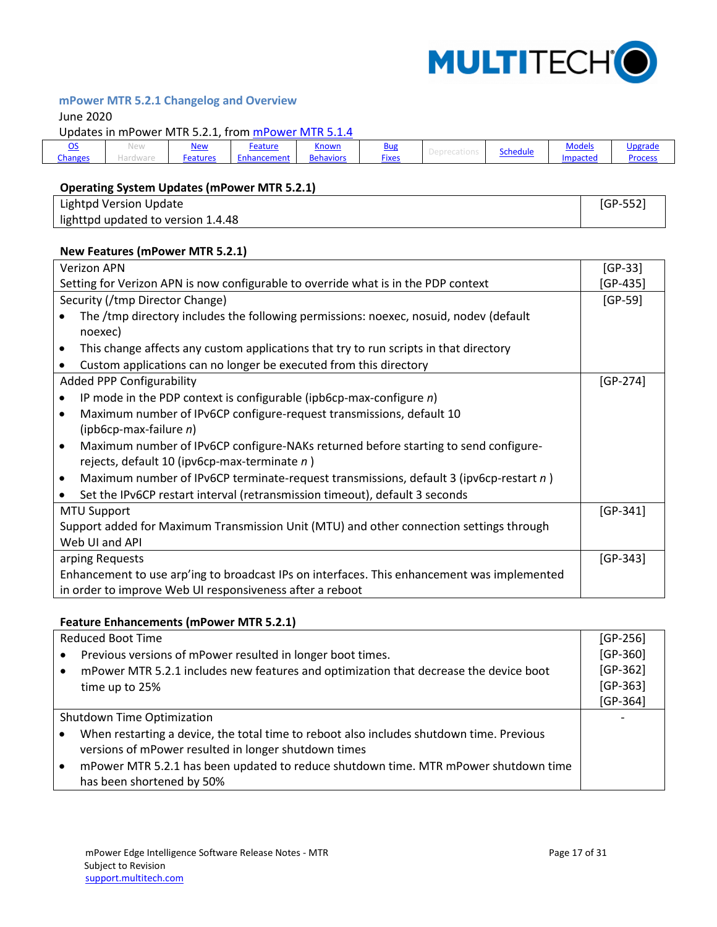

# <span id="page-16-0"></span>**mPower MTR 5.2.1 Changelog and Overview**

June 2020

Updates in mPower MTR 5.2.1, from mPower [MTR 5.1.4](#page-22-0)

| $\sim$<br><u>__</u> | new | <u>New</u> | Feature    | <u>Known</u>     | <b>Bug</b>   |                 | <b>Models</b>     | Upgrade        |
|---------------------|-----|------------|------------|------------------|--------------|-----------------|-------------------|----------------|
| Changes             |     | Features   | mcer<br>па | <b>Behaviors</b> | <b>Fixes</b> | <b>Schedule</b> | <b>illipacted</b> | <b>Process</b> |

# <span id="page-16-1"></span>**Operating System Updates (mPower MTR 5.2.1)**

| <b>Lightpd Version Update</b>      | GP-552' |
|------------------------------------|---------|
| lighttpd updated to version 1.4.48 |         |

#### <span id="page-16-2"></span>**New Features (mPower MTR 5.2.1)**

| <b>Verizon APN</b>                                                                                  |            |  |  |  |  |
|-----------------------------------------------------------------------------------------------------|------------|--|--|--|--|
| Setting for Verizon APN is now configurable to override what is in the PDP context                  |            |  |  |  |  |
| Security (/tmp Director Change)                                                                     | $[GP-59]$  |  |  |  |  |
| The /tmp directory includes the following permissions: noexec, nosuid, nodev (default               |            |  |  |  |  |
| noexec)                                                                                             |            |  |  |  |  |
| This change affects any custom applications that try to run scripts in that directory<br>$\bullet$  |            |  |  |  |  |
| Custom applications can no longer be executed from this directory<br>$\bullet$                      |            |  |  |  |  |
| <b>Added PPP Configurability</b>                                                                    | $[GP-274]$ |  |  |  |  |
| IP mode in the PDP context is configurable (ipb6cp-max-configure $n$ )<br>$\bullet$                 |            |  |  |  |  |
| Maximum number of IPv6CP configure-request transmissions, default 10<br>$\bullet$                   |            |  |  |  |  |
| (ipb6cp-max-failure $n$ )                                                                           |            |  |  |  |  |
| Maximum number of IPv6CP configure-NAKs returned before starting to send configure-<br>$\bullet$    |            |  |  |  |  |
| rejects, default 10 (ipv6cp-max-terminate n)                                                        |            |  |  |  |  |
| Maximum number of IPv6CP terminate-request transmissions, default 3 (ipv6cp-restart n)<br>$\bullet$ |            |  |  |  |  |
| Set the IPv6CP restart interval (retransmission timeout), default 3 seconds                         |            |  |  |  |  |
| <b>MTU Support</b>                                                                                  | $[GP-341]$ |  |  |  |  |
| Support added for Maximum Transmission Unit (MTU) and other connection settings through             |            |  |  |  |  |
| Web UI and API                                                                                      |            |  |  |  |  |
| arping Requests                                                                                     |            |  |  |  |  |
| Enhancement to use arp'ing to broadcast IPs on interfaces. This enhancement was implemented         |            |  |  |  |  |
| in order to improve Web UI responsiveness after a reboot                                            |            |  |  |  |  |

### <span id="page-16-3"></span>**Feature Enhancements (mPower MTR 5.2.1)**

| <b>Reduced Boot Time</b>   |                                                                                          |            |  |  |
|----------------------------|------------------------------------------------------------------------------------------|------------|--|--|
|                            | Previous versions of mPower resulted in longer boot times.                               | $[GP-360]$ |  |  |
|                            | mPower MTR 5.2.1 includes new features and optimization that decrease the device boot    | $[GP-362]$ |  |  |
|                            | time up to 25%                                                                           | $[GP-363]$ |  |  |
|                            |                                                                                          | $[GP-364]$ |  |  |
| Shutdown Time Optimization |                                                                                          |            |  |  |
|                            | When restarting a device, the total time to reboot also includes shutdown time. Previous |            |  |  |
|                            | versions of mPower resulted in longer shutdown times                                     |            |  |  |
|                            | mPower MTR 5.2.1 has been updated to reduce shutdown time. MTR mPower shutdown time      |            |  |  |
|                            | has been shortened by 50%                                                                |            |  |  |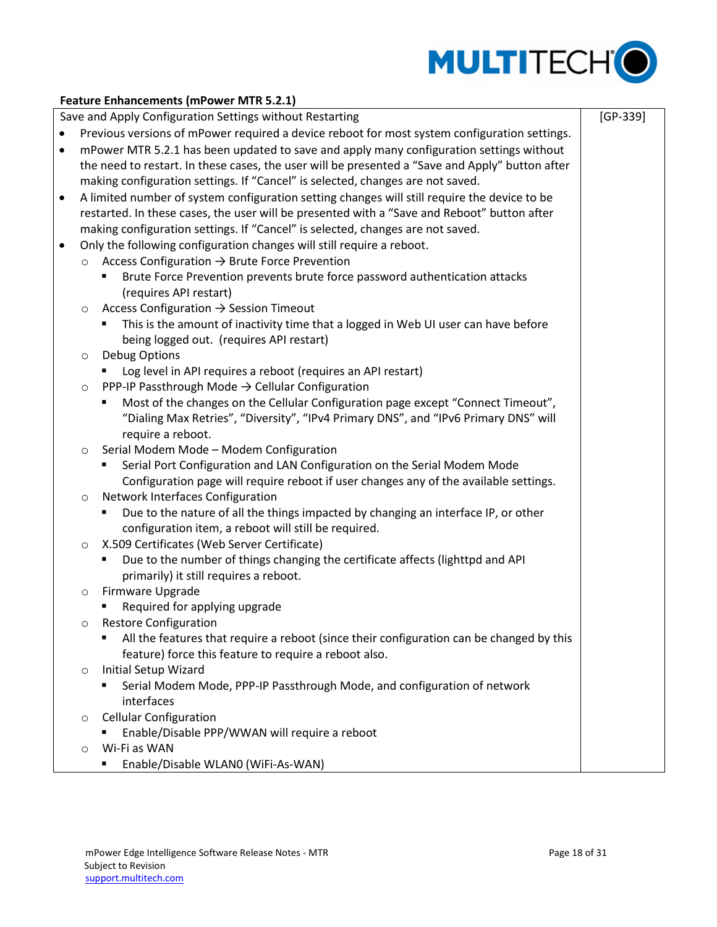

[GP-339]

## **Feature Enhancements (mPower MTR 5.2.1)**

Save and Apply Configuration Settings without Restarting

- Previous versions of mPower required a device reboot for most system configuration settings.
- mPower MTR 5.2.1 has been updated to save and apply many configuration settings without the need to restart. In these cases, the user will be presented a "Save and Apply" button after making configuration settings. If "Cancel" is selected, changes are not saved.
- A limited number of system configuration setting changes will still require the device to be restarted. In these cases, the user will be presented with a "Save and Reboot" button after making configuration settings. If "Cancel" is selected, changes are not saved.
- Only the following configuration changes will still require a reboot.
	- $\circ$  Access Configuration  $\rightarrow$  Brute Force Prevention
		- Brute Force Prevention prevents brute force password authentication attacks (requires API restart)
		- $\circ$  Access Configuration  $\rightarrow$  Session Timeout
			- This is the amount of inactivity time that a logged in Web UI user can have before being logged out. (requires API restart)
		- o Debug Options
			- **DED Log level in API requires a reboot (requires an API restart)**
		- $\circ$  PPP-IP Passthrough Mode  $\rightarrow$  Cellular Configuration
			- Most of the changes on the Cellular Configuration page except "Connect Timeout", "Dialing Max Retries", "Diversity", "IPv4 Primary DNS", and "IPv6 Primary DNS" will require a reboot.
		- o Serial Modem Mode Modem Configuration
			- Serial Port Configuration and LAN Configuration on the Serial Modem Mode Configuration page will require reboot if user changes any of the available settings.
		- o Network Interfaces Configuration
			- Due to the nature of all the things impacted by changing an interface IP, or other configuration item, a reboot will still be required.
		- o X.509 Certificates (Web Server Certificate)
			- **Due to the number of things changing the certificate affects (lighttpd and API** primarily) it still requires a reboot.
		- o Firmware Upgrade
			- **Required for applying upgrade**
		- o Restore Configuration
			- All the features that require a reboot (since their configuration can be changed by this feature) force this feature to require a reboot also.
		- o Initial Setup Wizard
			- Serial Modem Mode, PPP-IP Passthrough Mode, and configuration of network interfaces
		- o Cellular Configuration
			- Enable/Disable PPP/WWAN will require a reboot
		- o Wi-Fi as WAN
			- Enable/Disable WLAN0 (WiFi-As-WAN)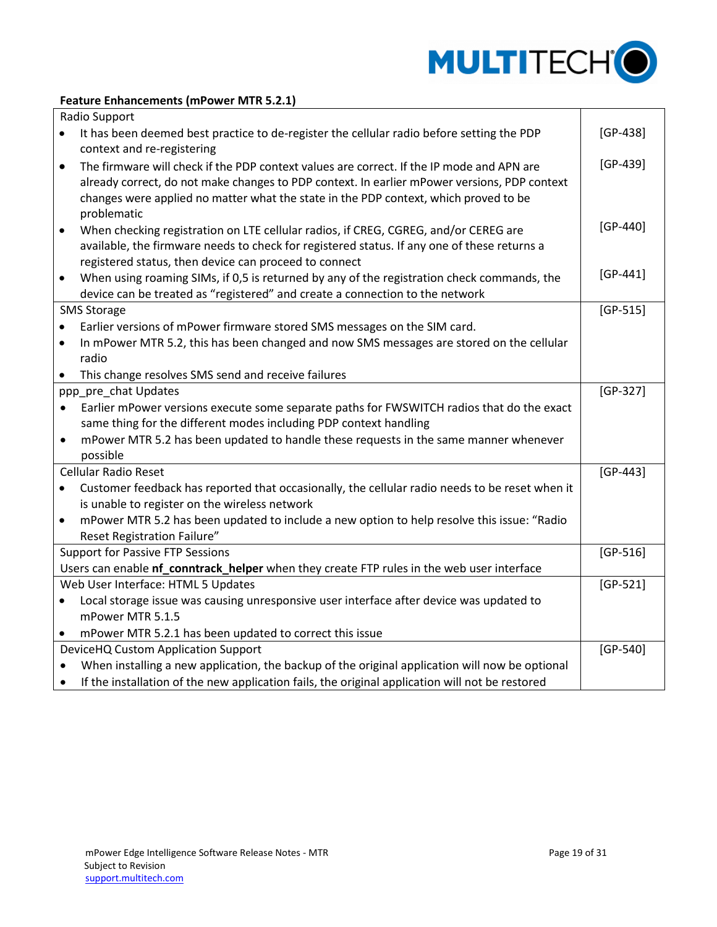

## **Feature Enhancements (mPower MTR 5.2.1)**

|           | Radio Support                                                                                   |            |
|-----------|-------------------------------------------------------------------------------------------------|------------|
|           | It has been deemed best practice to de-register the cellular radio before setting the PDP       | $[GP-438]$ |
|           | context and re-registering                                                                      |            |
| $\bullet$ | The firmware will check if the PDP context values are correct. If the IP mode and APN are       | $[GP-439]$ |
|           | already correct, do not make changes to PDP context. In earlier mPower versions, PDP context    |            |
|           | changes were applied no matter what the state in the PDP context, which proved to be            |            |
|           | problematic                                                                                     |            |
| $\bullet$ | When checking registration on LTE cellular radios, if CREG, CGREG, and/or CEREG are             | $[GP-440]$ |
|           | available, the firmware needs to check for registered status. If any one of these returns a     |            |
|           | registered status, then device can proceed to connect                                           |            |
|           | When using roaming SIMs, if 0,5 is returned by any of the registration check commands, the      | $[GP-441]$ |
|           | device can be treated as "registered" and create a connection to the network                    |            |
|           | <b>SMS Storage</b>                                                                              | $[GP-515]$ |
|           | Earlier versions of mPower firmware stored SMS messages on the SIM card.                        |            |
| $\bullet$ | In mPower MTR 5.2, this has been changed and now SMS messages are stored on the cellular        |            |
|           | radio                                                                                           |            |
|           | This change resolves SMS send and receive failures                                              |            |
|           | ppp_pre_chat Updates                                                                            | $[GP-327]$ |
| $\bullet$ | Earlier mPower versions execute some separate paths for FWSWITCH radios that do the exact       |            |
|           | same thing for the different modes including PDP context handling                               |            |
| $\bullet$ | mPower MTR 5.2 has been updated to handle these requests in the same manner whenever            |            |
|           | possible                                                                                        |            |
|           | <b>Cellular Radio Reset</b>                                                                     | $[GP-443]$ |
|           | Customer feedback has reported that occasionally, the cellular radio needs to be reset when it  |            |
|           | is unable to register on the wireless network                                                   |            |
| $\bullet$ | mPower MTR 5.2 has been updated to include a new option to help resolve this issue: "Radio      |            |
|           | <b>Reset Registration Failure"</b>                                                              |            |
|           | <b>Support for Passive FTP Sessions</b>                                                         | $[GP-516]$ |
|           | Users can enable nf_conntrack_helper when they create FTP rules in the web user interface       |            |
|           | Web User Interface: HTML 5 Updates                                                              | $[GP-521]$ |
| $\bullet$ | Local storage issue was causing unresponsive user interface after device was updated to         |            |
|           | mPower MTR 5.1.5                                                                                |            |
|           | mPower MTR 5.2.1 has been updated to correct this issue                                         |            |
|           | DeviceHQ Custom Application Support                                                             | $[GP-540]$ |
|           | When installing a new application, the backup of the original application will now be optional  |            |
|           | If the installation of the new application fails, the original application will not be restored |            |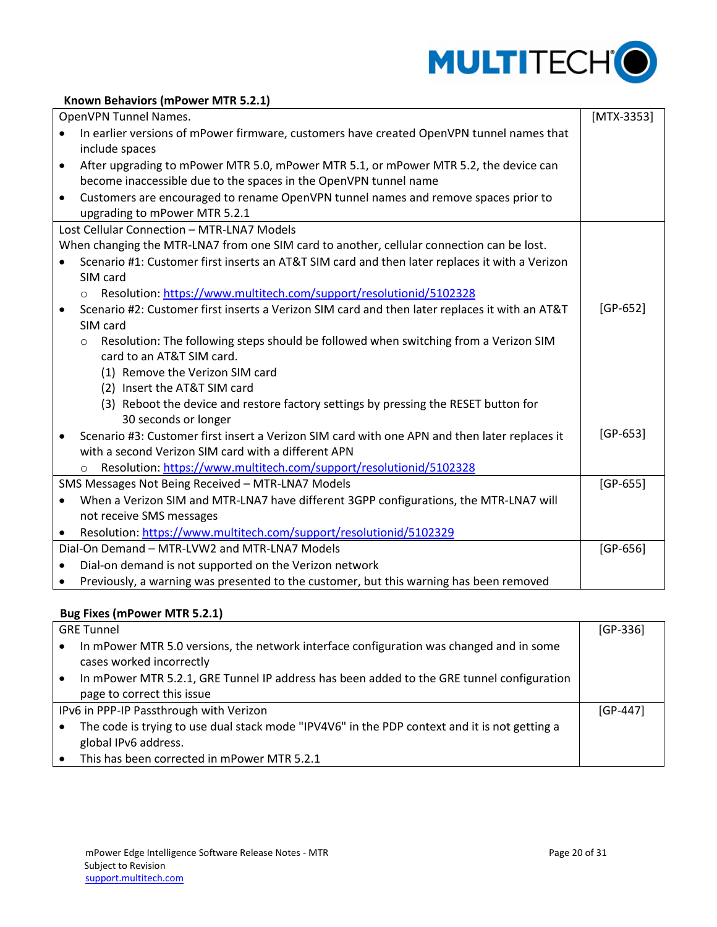

### <span id="page-19-0"></span>**Known Behaviors (mPower MTR 5.2.1)**

|           | OpenVPN Tunnel Names.                                                                           | $[MTX-3353]$ |
|-----------|-------------------------------------------------------------------------------------------------|--------------|
|           | In earlier versions of mPower firmware, customers have created OpenVPN tunnel names that        |              |
|           | include spaces                                                                                  |              |
| $\bullet$ | After upgrading to mPower MTR 5.0, mPower MTR 5.1, or mPower MTR 5.2, the device can            |              |
|           | become inaccessible due to the spaces in the OpenVPN tunnel name                                |              |
| $\bullet$ | Customers are encouraged to rename OpenVPN tunnel names and remove spaces prior to              |              |
|           | upgrading to mPower MTR 5.2.1                                                                   |              |
|           | Lost Cellular Connection - MTR-LNA7 Models                                                      |              |
|           | When changing the MTR-LNA7 from one SIM card to another, cellular connection can be lost.       |              |
|           | Scenario #1: Customer first inserts an AT&T SIM card and then later replaces it with a Verizon  |              |
|           | SIM card                                                                                        |              |
|           | Resolution: https://www.multitech.com/support/resolutionid/5102328<br>$\circ$                   |              |
| $\bullet$ | Scenario #2: Customer first inserts a Verizon SIM card and then later replaces it with an AT&T  | [GP-652]     |
|           | SIM card                                                                                        |              |
|           | Resolution: The following steps should be followed when switching from a Verizon SIM<br>$\circ$ |              |
|           | card to an AT&T SIM card.                                                                       |              |
|           | (1) Remove the Verizon SIM card                                                                 |              |
|           | (2) Insert the AT&T SIM card                                                                    |              |
|           | (3) Reboot the device and restore factory settings by pressing the RESET button for             |              |
|           | 30 seconds or longer                                                                            |              |
|           | Scenario #3: Customer first insert a Verizon SIM card with one APN and then later replaces it   | $[GP-653]$   |
|           | with a second Verizon SIM card with a different APN                                             |              |
|           | Resolution: https://www.multitech.com/support/resolutionid/5102328<br>$\circ$                   |              |
|           | SMS Messages Not Being Received - MTR-LNA7 Models                                               | $[GP-655]$   |
| $\bullet$ | When a Verizon SIM and MTR-LNA7 have different 3GPP configurations, the MTR-LNA7 will           |              |
|           | not receive SMS messages                                                                        |              |
| $\bullet$ | Resolution: https://www.multitech.com/support/resolutionid/5102329                              |              |
|           | Dial-On Demand - MTR-LVW2 and MTR-LNA7 Models                                                   | $[GP-656]$   |
| $\bullet$ | Dial-on demand is not supported on the Verizon network                                          |              |
| ٠         | Previously, a warning was presented to the customer, but this warning has been removed          |              |

# <span id="page-19-1"></span>**Bug Fixes (mPower MTR 5.2.1)**

| <b>GRE Tunnel</b>                                                                                                   |            |  |  |
|---------------------------------------------------------------------------------------------------------------------|------------|--|--|
| In mPower MTR 5.0 versions, the network interface configuration was changed and in some<br>cases worked incorrectly |            |  |  |
| In mPower MTR 5.2.1, GRE Tunnel IP address has been added to the GRE tunnel configuration                           |            |  |  |
| page to correct this issue                                                                                          |            |  |  |
| IPv6 in PPP-IP Passthrough with Verizon                                                                             | $[GP-447]$ |  |  |
| The code is trying to use dual stack mode "IPV4V6" in the PDP context and it is not getting a                       |            |  |  |
| global IPv6 address.                                                                                                |            |  |  |
| This has been corrected in mPower MTR 5.2.1                                                                         |            |  |  |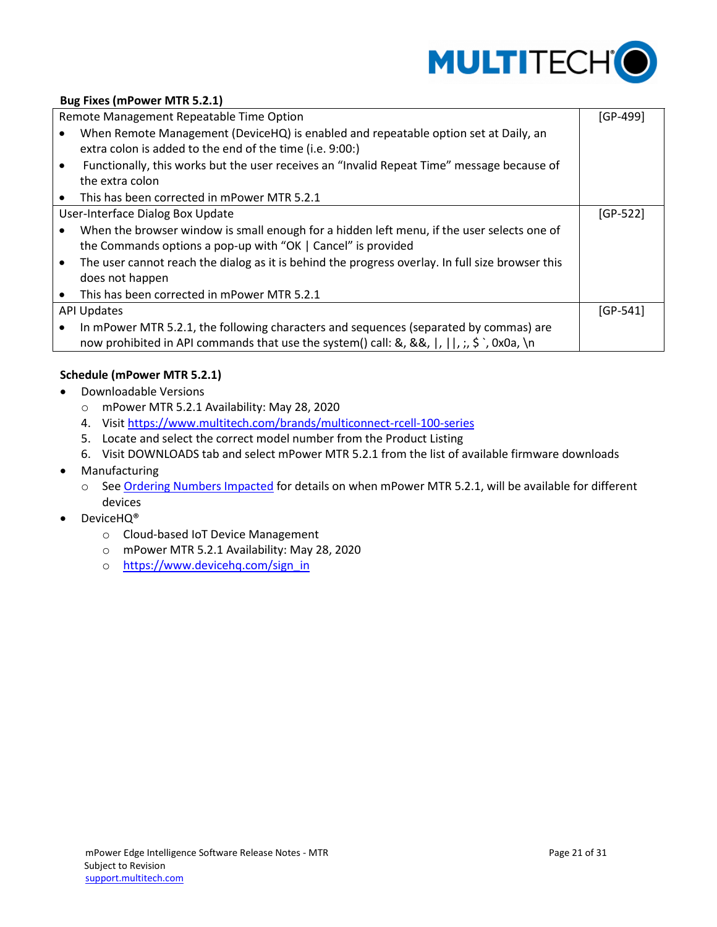

# **Bug Fixes (mPower MTR 5.2.1)**

|           | Remote Management Repeatable Time Option                                                                                                        | $[GP-499]$ |
|-----------|-------------------------------------------------------------------------------------------------------------------------------------------------|------------|
|           | When Remote Management (DeviceHQ) is enabled and repeatable option set at Daily, an<br>extra colon is added to the end of the time (i.e. 9:00:) |            |
|           | Functionally, this works but the user receives an "Invalid Repeat Time" message because of<br>the extra colon                                   |            |
| $\bullet$ | This has been corrected in mPower MTR 5.2.1                                                                                                     |            |
|           | User-Interface Dialog Box Update                                                                                                                | $[GP-522]$ |
|           | When the browser window is small enough for a hidden left menu, if the user selects one of                                                      |            |
|           | the Commands options a pop-up with "OK   Cancel" is provided                                                                                    |            |
|           | The user cannot reach the dialog as it is behind the progress overlay. In full size browser this                                                |            |
|           | does not happen                                                                                                                                 |            |
|           | This has been corrected in mPower MTR 5.2.1                                                                                                     |            |
|           | <b>API Updates</b>                                                                                                                              | $[GP-541]$ |
|           | In mPower MTR 5.2.1, the following characters and sequences (separated by commas) are                                                           |            |
|           | now prohibited in API commands that use the system() call: &, &&,  ,   ,;, \$ , 0x0a, \n                                                        |            |

## <span id="page-20-0"></span>**Schedule (mPower MTR 5.2.1)**

- Downloadable Versions
	- o mPower MTR 5.2.1 Availability: May 28, 2020
	- 4. Visit<https://www.multitech.com/brands/multiconnect-rcell-100-series>
	- 5. Locate and select the correct model number from the Product Listing
	- 6. Visit DOWNLOADS tab and select mPower MTR 5.2.1 from the list of available firmware downloads
- Manufacturing
	- o See Ordering Numbers Impacted for details on when mPower MTR 5.2.1, will be available for different devices
- DeviceHQ<sup>®</sup>
	- o Cloud-based IoT Device Management
	- o mPower MTR 5.2.1 Availability: May 28, 2020
	- o [https://www.devicehq.com/sign\\_in](https://www.devicehq.com/sign_in)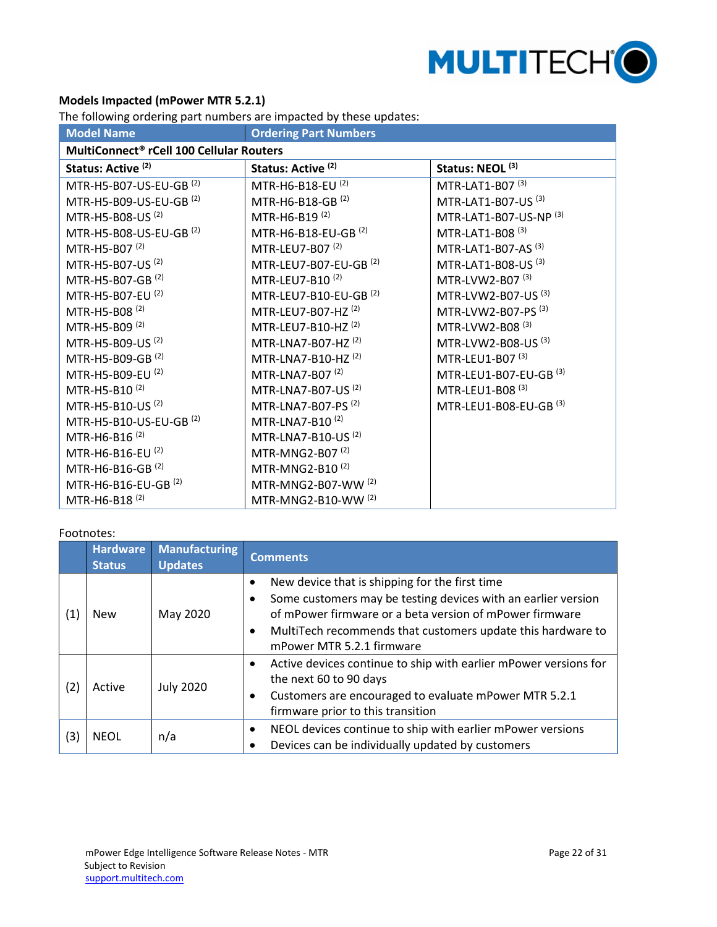

# <span id="page-21-0"></span>**Models Impacted (mPower MTR 5.2.1)**

The following ordering part numbers are impacted by these updates:

| <b>Ordering Part Numbers</b><br><b>Model Name</b>    |                                   |                                   |  |  |  |
|------------------------------------------------------|-----------------------------------|-----------------------------------|--|--|--|
| MultiConnect <sup>®</sup> rCell 100 Cellular Routers |                                   |                                   |  |  |  |
| Status: Active <sup>(2)</sup>                        | Status: Active <sup>(2)</sup>     | Status: NEOL <sup>(3)</sup>       |  |  |  |
| MTR-H5-B07-US-EU-GB <sup>(2)</sup>                   | MTR-H6-B18-EU <sup>(2)</sup>      | MTR-LAT1-B07 <sup>(3)</sup>       |  |  |  |
| MTR-H5-B09-US-EU-GB <sup>(2)</sup>                   | MTR-H6-B18-GB <sup>(2)</sup>      | MTR-LAT1-B07-US <sup>(3)</sup>    |  |  |  |
| MTR-H5-B08-US <sup>(2)</sup>                         | MTR-H6-B19 <sup>(2)</sup>         | MTR-LAT1-B07-US-NP (3)            |  |  |  |
| MTR-H5-B08-US-EU-GB <sup>(2)</sup>                   | MTR-H6-B18-EU-GB <sup>(2)</sup>   | MTR-LAT1-B08 <sup>(3)</sup>       |  |  |  |
| MTR-H5-B07 <sup>(2)</sup>                            | MTR-LEU7-B07 <sup>(2)</sup>       | MTR-LAT1-B07-AS $(3)$             |  |  |  |
| MTR-H5-B07-US <sup>(2)</sup>                         | MTR-LEU7-B07-EU-GB <sup>(2)</sup> | MTR-LAT1-B08-US <sup>(3)</sup>    |  |  |  |
| MTR-H5-B07-GB <sup>(2)</sup>                         | MTR-LEU7-B10 <sup>(2)</sup>       | MTR-LVW2-B07 <sup>(3)</sup>       |  |  |  |
| MTR-H5-B07-EU <sup>(2)</sup>                         | MTR-LEU7-B10-EU-GB <sup>(2)</sup> | MTR-LVW2-B07-US (3)               |  |  |  |
| MTR-H5-B08 <sup>(2)</sup>                            | MTR-LEU7-B07-HZ <sup>(2)</sup>    | MTR-LVW2-B07-PS <sup>(3)</sup>    |  |  |  |
| MTR-H5-B09 <sup>(2)</sup>                            | MTR-LEU7-B10-HZ <sup>(2)</sup>    | MTR-LVW2-B08 <sup>(3)</sup>       |  |  |  |
| MTR-H5-B09-US <sup>(2)</sup>                         | MTR-LNA7-B07-HZ <sup>(2)</sup>    | MTR-LVW2-B08-US (3)               |  |  |  |
| MTR-H5-B09-GB <sup>(2)</sup>                         | MTR-LNA7-B10-HZ <sup>(2)</sup>    | MTR-LEU1-B07 <sup>(3)</sup>       |  |  |  |
| MTR-H5-B09-EU <sup>(2)</sup>                         | MTR-LNA7-B07 <sup>(2)</sup>       | MTR-LEU1-B07-EU-GB <sup>(3)</sup> |  |  |  |
| MTR-H5-B10 <sup>(2)</sup>                            | MTR-LNA7-B07-US <sup>(2)</sup>    | MTR-LEU1-B08 <sup>(3)</sup>       |  |  |  |
| MTR-H5-B10-US <sup>(2)</sup>                         | MTR-LNA7-B07-PS <sup>(2)</sup>    | MTR-LEU1-B08-EU-GB (3)            |  |  |  |
| MTR-H5-B10-US-EU-GB <sup>(2)</sup>                   | MTR-LNA7-B10 <sup>(2)</sup>       |                                   |  |  |  |
| MTR-H6-B16 <sup>(2)</sup>                            | MTR-LNA7-B10-US <sup>(2)</sup>    |                                   |  |  |  |
| MTR-H6-B16-EU <sup>(2)</sup>                         | MTR-MNG2-B07 <sup>(2)</sup>       |                                   |  |  |  |
| MTR-H6-B16-GB <sup>(2)</sup>                         | MTR-MNG2-B10 <sup>(2)</sup>       |                                   |  |  |  |
| MTR-H6-B16-EU-GB <sup>(2)</sup>                      | MTR-MNG2-B07-WW (2)               |                                   |  |  |  |
| MTR-H6-B18 <sup>(2)</sup>                            | MTR-MNG2-B10-WW (2)               |                                   |  |  |  |

#### Footnotes:

|     | <b>Hardware</b><br><b>Status</b> | <b>Manufacturing</b><br><b>Updates</b> | <b>Comments</b>                                                                                                                                                                                                                                                                                  |
|-----|----------------------------------|----------------------------------------|--------------------------------------------------------------------------------------------------------------------------------------------------------------------------------------------------------------------------------------------------------------------------------------------------|
| (1) | New                              | May 2020                               | New device that is shipping for the first time<br>$\bullet$<br>Some customers may be testing devices with an earlier version<br>of mPower firmware or a beta version of mPower firmware<br>MultiTech recommends that customers update this hardware to<br>$\bullet$<br>mPower MTR 5.2.1 firmware |
| (2) | Active                           | <b>July 2020</b>                       | Active devices continue to ship with earlier mPower versions for<br>$\bullet$<br>the next 60 to 90 days<br>Customers are encouraged to evaluate mPower MTR 5.2.1<br>$\bullet$<br>firmware prior to this transition                                                                               |
| (3) | <b>NEOL</b>                      | n/a                                    | NEOL devices continue to ship with earlier mPower versions<br>$\bullet$<br>Devices can be individually updated by customers                                                                                                                                                                      |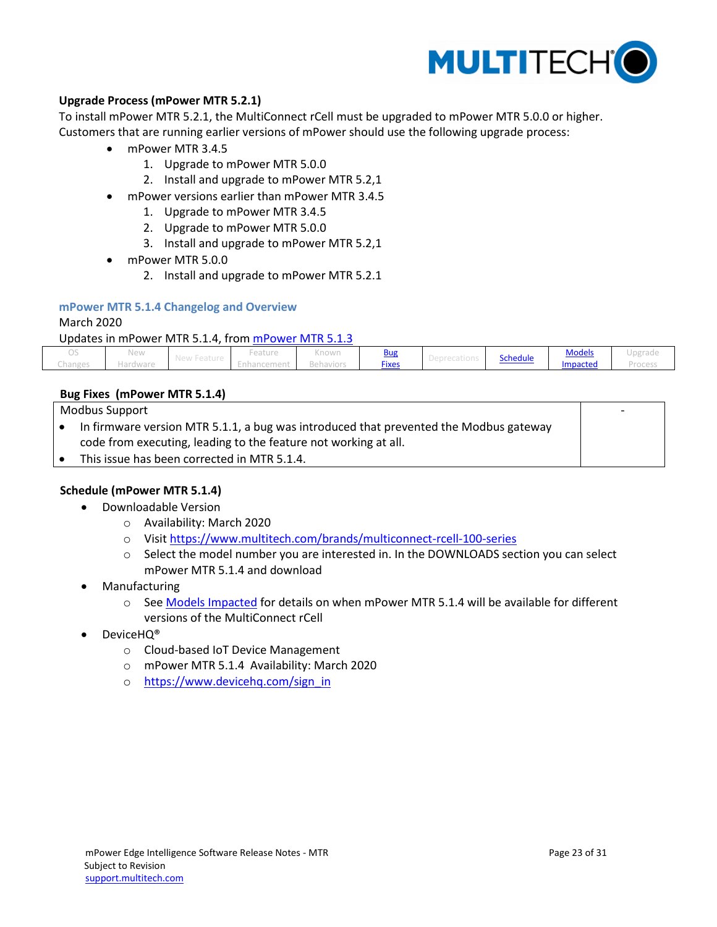

## <span id="page-22-1"></span>**Upgrade Process (mPower MTR 5.2.1)**

To install mPower MTR 5.2.1, the MultiConnect rCell must be upgraded to mPower MTR 5.0.0 or higher. Customers that are running earlier versions of mPower should use the following upgrade process:

- mPower MTR 3.4.5
	- 1. Upgrade to mPower MTR 5.0.0
	- 2. Install and upgrade to mPower MTR 5.2,1
- mPower versions earlier than mPower MTR 3.4.5
	- 1. Upgrade to mPower MTR 3.4.5
	- 2. Upgrade to mPower MTR 5.0.0
	- 3. Install and upgrade to mPower MTR 5.2,1
- mPower MTR 5.0.0
	- 2. Install and upgrade to mPower MTR 5.2.1

## <span id="page-22-0"></span>**mPower MTR 5.1.4 Changelog and Overview**

#### March 2020

#### Updates in mPower MTR 5.1.4, from [mPower MTR 5.1.3](#page-24-0)

|                | New      |                  | $\sim$ $\sim$ $\sim$ $\sim$<br>-eature | $\sqrt{2}$<br>NTIOWIT  | <b>Bus</b>   |           | <b>Schedule</b> | <b>Models</b>   | and the country |
|----------------|----------|------------------|----------------------------------------|------------------------|--------------|-----------|-----------------|-----------------|-----------------|
| <b>Changes</b> | Hardware | $115$ W I COLUIL | 1911 U.S. I. I                         | 57 - FF FF FF FF FF FF | <b>Fixes</b> | PUNIUUNII |                 | <b>impacted</b> |                 |

#### <span id="page-22-2"></span>**Bug Fixes (mPower MTR 5.1.4)**

| Modbus Support |                                                                                       |  |
|----------------|---------------------------------------------------------------------------------------|--|
|                | In firmware version MTR 5.1.1, a bug was introduced that prevented the Modbus gateway |  |
|                | code from executing, leading to the feature not working at all.                       |  |
|                | This issue has been corrected in MTR 5.1.4.                                           |  |

## <span id="page-22-3"></span>**Schedule (mPower MTR 5.1.4)**

- Downloadable Version
	- o Availability: March 2020
	- o Visit<https://www.multitech.com/brands/multiconnect-rcell-100-series>
	- o Select the model number you are interested in. In the DOWNLOADS section you can select mPower MTR 5.1.4 and download
- Manufacturing
	- o See Models Impacted for details on when mPower MTR 5.1.4 will be available for different versions of the MultiConnect rCell
- DeviceHQ®
	- o Cloud-based IoT Device Management
	- o mPower MTR 5.1.4 Availability: March 2020
	- o [https://www.devicehq.com/sign\\_in](https://www.devicehq.com/sign_in)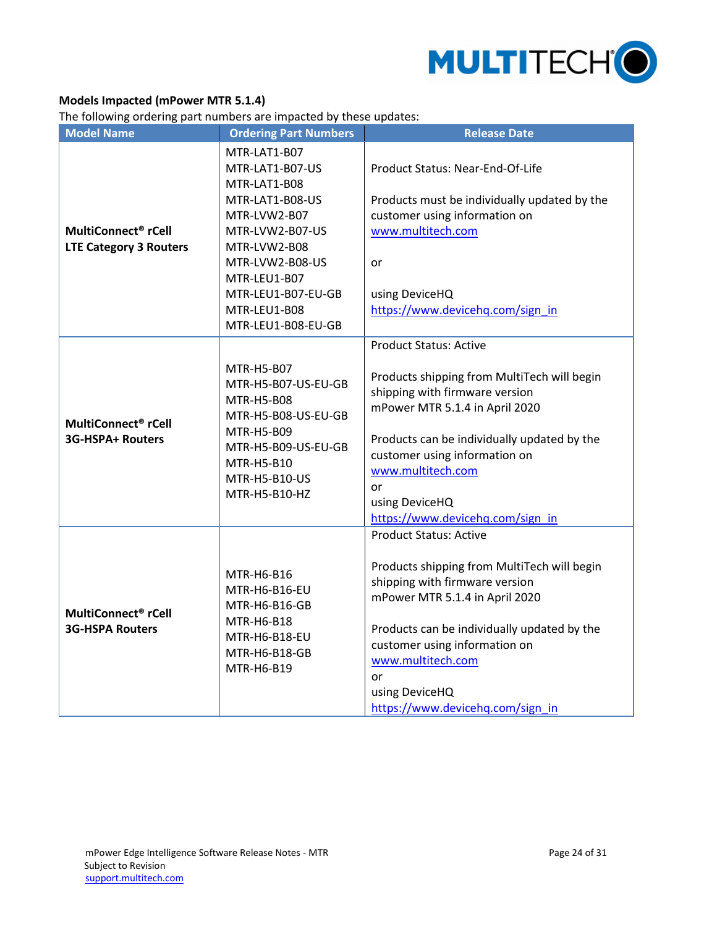

## <span id="page-23-0"></span>**Models Impacted (mPower MTR 5.1.4)**

The following ordering part numbers are impacted by these updates:

| The following ordering part hannocro are impacted by these apaates.<br><b>Model Name</b> | <b>Ordering Part Numbers</b>                                                                                                                                                                                         | <b>Release Date</b>                                                                                                                                                                                                                                                                                               |
|------------------------------------------------------------------------------------------|----------------------------------------------------------------------------------------------------------------------------------------------------------------------------------------------------------------------|-------------------------------------------------------------------------------------------------------------------------------------------------------------------------------------------------------------------------------------------------------------------------------------------------------------------|
| MultiConnect <sup>®</sup> rCell<br><b>LTE Category 3 Routers</b>                         | MTR-LAT1-B07<br>MTR-LAT1-B07-US<br>MTR-LAT1-B08<br>MTR-LAT1-B08-US<br>MTR-LVW2-B07<br>MTR-LVW2-B07-US<br>MTR-LVW2-B08<br>MTR-LVW2-B08-US<br>MTR-LEU1-B07<br>MTR-LEU1-B07-EU-GB<br>MTR-LEU1-B08<br>MTR-LEU1-B08-EU-GB | Product Status: Near-End-Of-Life<br>Products must be individually updated by the<br>customer using information on<br>www.multitech.com<br>or<br>using DeviceHQ<br>https://www.devicehq.com/sign_in                                                                                                                |
| MultiConnect <sup>®</sup> rCell<br>3G-HSPA+ Routers                                      | MTR-H5-B07<br>MTR-H5-B07-US-EU-GB<br>MTR-H5-B08<br>MTR-H5-B08-US-EU-GB<br>MTR-H5-B09<br>MTR-H5-B09-US-EU-GB<br>MTR-H5-B10<br>MTR-H5-B10-US<br>MTR-H5-B10-HZ                                                          | <b>Product Status: Active</b><br>Products shipping from MultiTech will begin<br>shipping with firmware version<br>mPower MTR 5.1.4 in April 2020<br>Products can be individually updated by the<br>customer using information on<br>www.multitech.com<br>or<br>using DeviceHQ<br>https://www.devicehq.com/sign_in |
| MultiConnect <sup>®</sup> rCell<br><b>3G-HSPA Routers</b>                                | MTR-H6-B16<br>MTR-H6-B16-EU<br>MTR-H6-B16-GB<br>MTR-H6-B18<br>MTR-H6-B18-EU<br>MTR-H6-B18-GB<br>MTR-H6-B19                                                                                                           | <b>Product Status: Active</b><br>Products shipping from MultiTech will begin<br>shipping with firmware version<br>mPower MTR 5.1.4 in April 2020<br>Products can be individually updated by the<br>customer using information on<br>www.multitech.com<br>or<br>using DeviceHQ<br>https://www.devicehq.com/sign_in |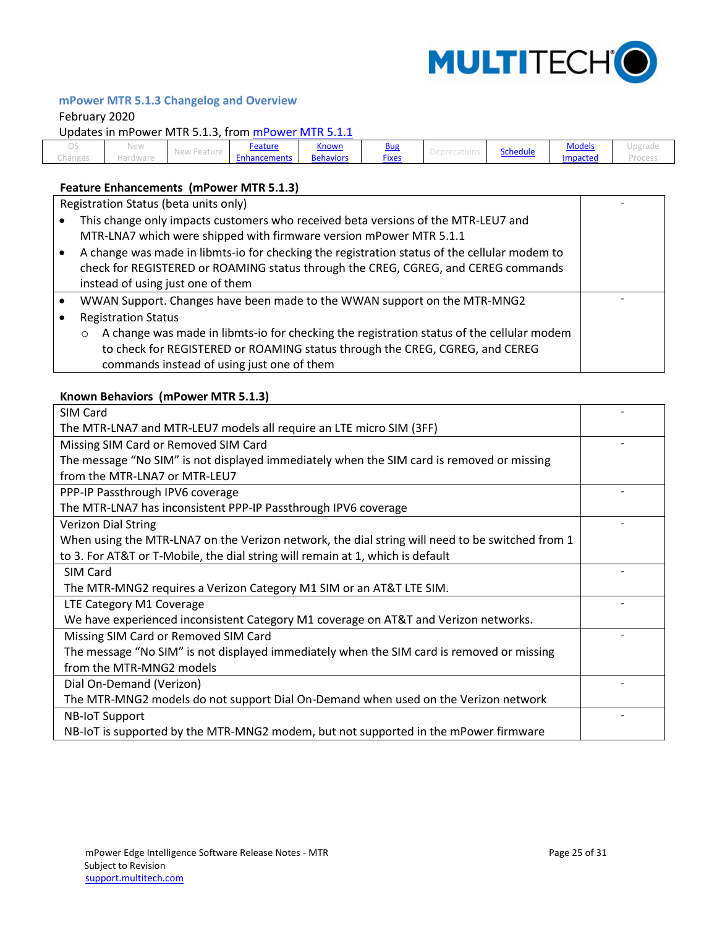

-

-

## <span id="page-24-0"></span>**mPower MTR 5.1.3 Changelog and Overview**

#### February 2020

Updates in mPower MTR 5.1.3, from [mPower MTR 5.1.1](#page-26-0)

| $\sim$             | 1.03333<br>INEW | and also also a                             | Feature    | . .<br><u>Known</u> | Bur                | <b>Schedule</b> | <b>Models</b> | <b>In common</b><br>unki qui |
|--------------------|-----------------|---------------------------------------------|------------|---------------------|--------------------|-----------------|---------------|------------------------------|
| hange<br>U I U I I |                 | .<br>$1$ V $\cup$ V $V$ $1$<br><b>CULUI</b> | hancements | Behaviors           | $- \cdot$<br>Fixes |                 | impacted      |                              |

### <span id="page-24-1"></span>**Feature Enhancements (mPower MTR 5.1.3)**

Registration Status (beta units only)

| This change only impacts customers who received beta versions of the MTR-LEU7 and |
|-----------------------------------------------------------------------------------|
| MTR-LNA7 which were shipped with firmware version mPower MTR 5.1.1                |

- A change was made in libmts-io for checking the registration status of the cellular modem to check for REGISTERED or ROAMING status through the CREG, CGREG, and CEREG commands instead of using just one of them
- WWAN Support. Changes have been made to the WWAN support on the MTR-MNG2
- Registration Status
	- $\circ$  A change was made in libmts-io for checking the registration status of the cellular modem to check for REGISTERED or ROAMING status through the CREG, CGREG, and CEREG commands instead of using just one of them

#### <span id="page-24-2"></span>**Known Behaviors (mPower MTR 5.1.3)**

| SIM Card                                                                                        |  |
|-------------------------------------------------------------------------------------------------|--|
| The MTR-LNA7 and MTR-LEU7 models all require an LTE micro SIM (3FF)                             |  |
| Missing SIM Card or Removed SIM Card                                                            |  |
| The message "No SIM" is not displayed immediately when the SIM card is removed or missing       |  |
| from the MTR-LNA7 or MTR-LEU7                                                                   |  |
| PPP-IP Passthrough IPV6 coverage                                                                |  |
| The MTR-LNA7 has inconsistent PPP-IP Passthrough IPV6 coverage                                  |  |
| <b>Verizon Dial String</b>                                                                      |  |
| When using the MTR-LNA7 on the Verizon network, the dial string will need to be switched from 1 |  |
| to 3. For AT&T or T-Mobile, the dial string will remain at 1, which is default                  |  |
| SIM Card                                                                                        |  |
| The MTR-MNG2 requires a Verizon Category M1 SIM or an AT&T LTE SIM.                             |  |
| LTE Category M1 Coverage                                                                        |  |
| We have experienced inconsistent Category M1 coverage on AT&T and Verizon networks.             |  |
| Missing SIM Card or Removed SIM Card                                                            |  |
| The message "No SIM" is not displayed immediately when the SIM card is removed or missing       |  |
| from the MTR-MNG2 models                                                                        |  |
| Dial On-Demand (Verizon)                                                                        |  |
| The MTR-MNG2 models do not support Dial On-Demand when used on the Verizon network              |  |
| <b>NB-IoT Support</b>                                                                           |  |
| NB-IoT is supported by the MTR-MNG2 modem, but not supported in the mPower firmware             |  |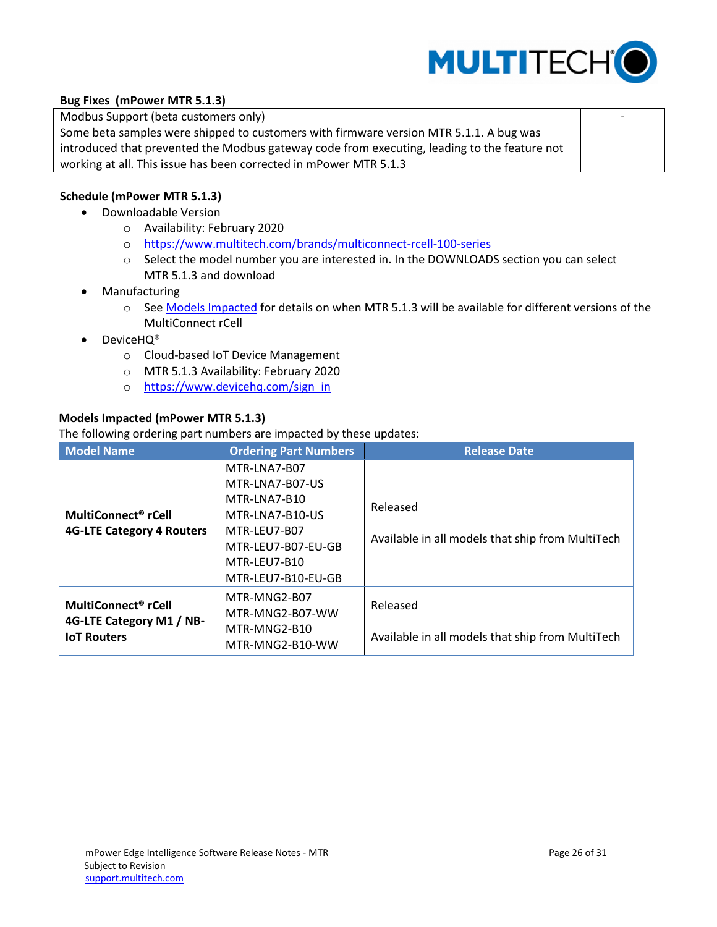

-

## <span id="page-25-0"></span>**Bug Fixes (mPower MTR 5.1.3)**

Modbus Support (beta customers only)

Some beta samples were shipped to customers with firmware version MTR 5.1.1. A bug was introduced that prevented the Modbus gateway code from executing, leading to the feature not working at all. This issue has been corrected in mPower MTR 5.1.3

## <span id="page-25-1"></span>**Schedule (mPower MTR 5.1.3)**

- Downloadable Version
	- o Availability: February 2020
	- o <https://www.multitech.com/brands/multiconnect-rcell-100-series>
	- o Select the model number you are interested in. In the DOWNLOADS section you can select MTR 5.1.3 and download
- Manufacturing
	- o See Models Impacted for details on when MTR 5.1.3 will be available for different versions of the MultiConnect rCell
- DeviceHQ®
	- o Cloud-based IoT Device Management
	- o MTR 5.1.3 Availability: February 2020
	- o [https://www.devicehq.com/sign\\_in](https://www.devicehq.com/sign_in)

## <span id="page-25-2"></span>**Models Impacted (mPower MTR 5.1.3)**

The following ordering part numbers are impacted by these updates:

| <b>Model Name</b>                | <b>Ordering Part Numbers</b> | <b>Release Date</b>                              |
|----------------------------------|------------------------------|--------------------------------------------------|
|                                  | MTR-LNA7-B07                 |                                                  |
|                                  | MTR-LNA7-B07-US              |                                                  |
|                                  | MTR-LNA7-B10                 | Released                                         |
| MultiConnect <sup>®</sup> rCell  | MTR-LNA7-B10-US              |                                                  |
| <b>4G-LTE Category 4 Routers</b> | MTR-LEU7-B07                 |                                                  |
|                                  | MTR-LEU7-B07-EU-GB           | Available in all models that ship from MultiTech |
|                                  | MTR-LEU7-B10                 |                                                  |
|                                  | MTR-LEU7-B10-EU-GB           |                                                  |
|                                  | MTR-MNG2-B07                 |                                                  |
| MultiConnect <sup>®</sup> rCell  | MTR-MNG2-B07-WW              | Released                                         |
| 4G-LTE Category M1 / NB-         | MTR-MNG2-B10                 |                                                  |
| <b>IoT Routers</b>               | MTR-MNG2-B10-WW              | Available in all models that ship from MultiTech |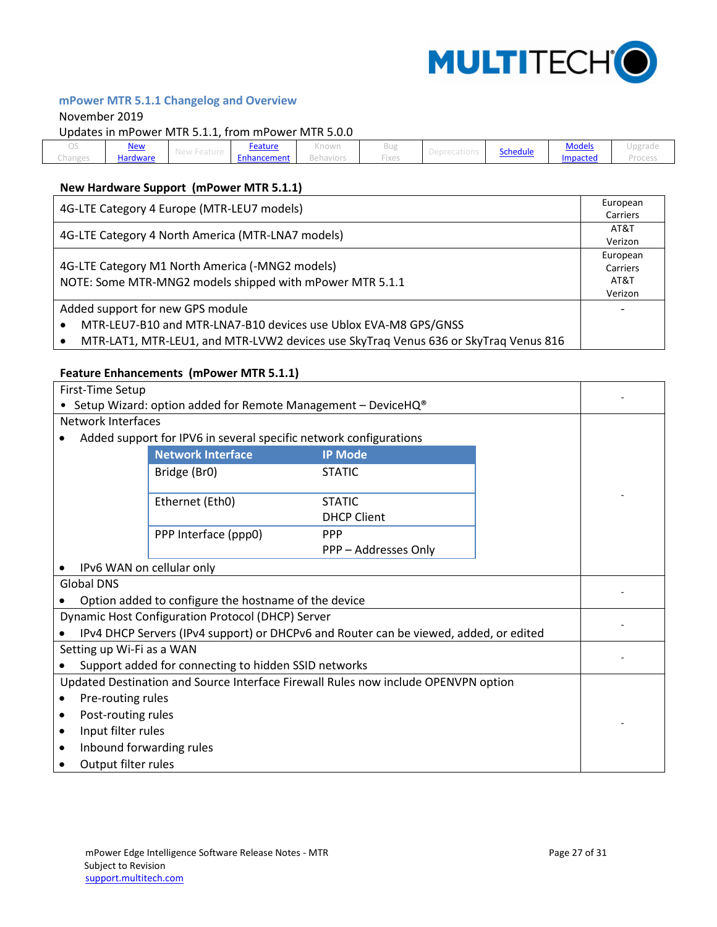

# <span id="page-26-0"></span>**mPower MTR 5.1.1 Changelog and Overview**

#### November 2019

Updates in mPower MTR 5.1.1, from mPower MTR 5.0.0

|                                             |                 |                |                       |                     |          | . .           |  |
|---------------------------------------------|-----------------|----------------|-----------------------|---------------------|----------|---------------|--|
|                                             | <u>New</u>      | <u>Feature</u> | ---------<br>NTUWIT   |                     |          | <u>Models</u> |  |
| the set and star at the<br><b>UNICHISTS</b> | <b>Hardware</b> | :nhancement    | $-64.041$<br>PCHUVIVI | IVA<br>$1 \wedge C$ | Schedule | Impactec      |  |

# <span id="page-26-1"></span>**New Hardware Support (mPower MTR 5.1.1)**

| 4G-LTE Category 4 Europe (MTR-LEU7 models)                                          |          |  |  |
|-------------------------------------------------------------------------------------|----------|--|--|
|                                                                                     |          |  |  |
|                                                                                     |          |  |  |
| 4G-LTE Category 4 North America (MTR-LNA7 models)                                   |          |  |  |
|                                                                                     | European |  |  |
| 4G-LTE Category M1 North America (-MNG2 models)                                     |          |  |  |
| NOTE: Some MTR-MNG2 models shipped with mPower MTR 5.1.1                            |          |  |  |
|                                                                                     |          |  |  |
| Added support for new GPS module                                                    |          |  |  |
| MTR-LEU7-B10 and MTR-LNA7-B10 devices use Ublox EVA-M8 GPS/GNSS                     |          |  |  |
| MTR-LAT1, MTR-LEU1, and MTR-LVW2 devices use SkyTraq Venus 636 or SkyTraq Venus 816 |          |  |  |

#### <span id="page-26-2"></span>**Feature Enhancements (mPower MTR 5.1.1)**

|                                                                                       | First-Time Setup                                                           |                      |  |  |  |
|---------------------------------------------------------------------------------------|----------------------------------------------------------------------------|----------------------|--|--|--|
|                                                                                       | • Setup Wizard: option added for Remote Management - DeviceHQ <sup>®</sup> |                      |  |  |  |
| <b>Network Interfaces</b>                                                             |                                                                            |                      |  |  |  |
|                                                                                       | Added support for IPV6 in several specific network configurations          |                      |  |  |  |
|                                                                                       | <b>Network Interface</b>                                                   | <b>IP Mode</b>       |  |  |  |
|                                                                                       | Bridge (Br0)                                                               | <b>STATIC</b>        |  |  |  |
|                                                                                       | Ethernet (Eth0)                                                            | <b>STATIC</b>        |  |  |  |
|                                                                                       |                                                                            | <b>DHCP Client</b>   |  |  |  |
|                                                                                       | PPP Interface (ppp0)                                                       | <b>PPP</b>           |  |  |  |
|                                                                                       |                                                                            | PPP - Addresses Only |  |  |  |
|                                                                                       | IPv6 WAN on cellular only                                                  |                      |  |  |  |
| <b>Global DNS</b>                                                                     |                                                                            |                      |  |  |  |
| Option added to configure the hostname of the device                                  |                                                                            |                      |  |  |  |
| Dynamic Host Configuration Protocol (DHCP) Server                                     |                                                                            |                      |  |  |  |
| IPv4 DHCP Servers (IPv4 support) or DHCPv6 and Router can be viewed, added, or edited |                                                                            |                      |  |  |  |
| Setting up Wi-Fi as a WAN                                                             |                                                                            |                      |  |  |  |
| Support added for connecting to hidden SSID networks                                  |                                                                            |                      |  |  |  |
| Updated Destination and Source Interface Firewall Rules now include OPENVPN option    |                                                                            |                      |  |  |  |
| Pre-routing rules                                                                     |                                                                            |                      |  |  |  |
| Post-routing rules                                                                    |                                                                            |                      |  |  |  |
| Input filter rules                                                                    |                                                                            |                      |  |  |  |
| ٠                                                                                     | Inbound forwarding rules                                                   |                      |  |  |  |
|                                                                                       | Output filter rules                                                        |                      |  |  |  |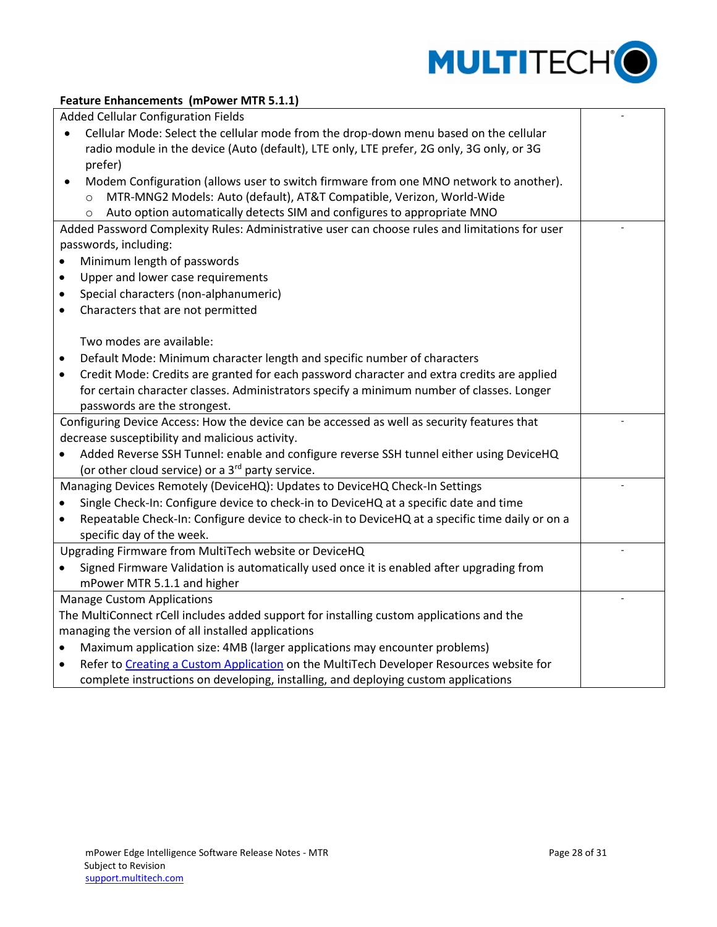

## **Feature Enhancements (mPower MTR 5.1.1)**

|           | <b>Added Cellular Configuration Fields</b>                                                     |  |
|-----------|------------------------------------------------------------------------------------------------|--|
| $\bullet$ | Cellular Mode: Select the cellular mode from the drop-down menu based on the cellular          |  |
|           | radio module in the device (Auto (default), LTE only, LTE prefer, 2G only, 3G only, or 3G      |  |
|           | prefer)                                                                                        |  |
| $\bullet$ | Modem Configuration (allows user to switch firmware from one MNO network to another).          |  |
|           | MTR-MNG2 Models: Auto (default), AT&T Compatible, Verizon, World-Wide<br>$\circ$               |  |
|           | Auto option automatically detects SIM and configures to appropriate MNO<br>$\Omega$            |  |
|           | Added Password Complexity Rules: Administrative user can choose rules and limitations for user |  |
|           | passwords, including:                                                                          |  |
|           | Minimum length of passwords                                                                    |  |
| $\bullet$ | Upper and lower case requirements                                                              |  |
| $\bullet$ | Special characters (non-alphanumeric)                                                          |  |
| $\bullet$ | Characters that are not permitted                                                              |  |
|           |                                                                                                |  |
|           | Two modes are available:                                                                       |  |
| $\bullet$ | Default Mode: Minimum character length and specific number of characters                       |  |
| $\bullet$ | Credit Mode: Credits are granted for each password character and extra credits are applied     |  |
|           | for certain character classes. Administrators specify a minimum number of classes. Longer      |  |
|           | passwords are the strongest.                                                                   |  |
|           | Configuring Device Access: How the device can be accessed as well as security features that    |  |
|           | decrease susceptibility and malicious activity.                                                |  |
|           | Added Reverse SSH Tunnel: enable and configure reverse SSH tunnel either using DeviceHQ        |  |
|           | (or other cloud service) or a 3 <sup>rd</sup> party service.                                   |  |
|           | Managing Devices Remotely (DeviceHQ): Updates to DeviceHQ Check-In Settings                    |  |
|           | Single Check-In: Configure device to check-in to DeviceHQ at a specific date and time          |  |
|           | Repeatable Check-In: Configure device to check-in to DeviceHQ at a specific time daily or on a |  |
|           | specific day of the week.                                                                      |  |
|           | Upgrading Firmware from MultiTech website or DeviceHQ                                          |  |
| $\bullet$ | Signed Firmware Validation is automatically used once it is enabled after upgrading from       |  |
|           | mPower MTR 5.1.1 and higher                                                                    |  |
|           | <b>Manage Custom Applications</b>                                                              |  |
|           | The MultiConnect rCell includes added support for installing custom applications and the       |  |
|           | managing the version of all installed applications                                             |  |
|           | Maximum application size: 4MB (larger applications may encounter problems)                     |  |
| $\bullet$ | Refer to Creating a Custom Application on the MultiTech Developer Resources website for        |  |
|           | complete instructions on developing, installing, and deploying custom applications             |  |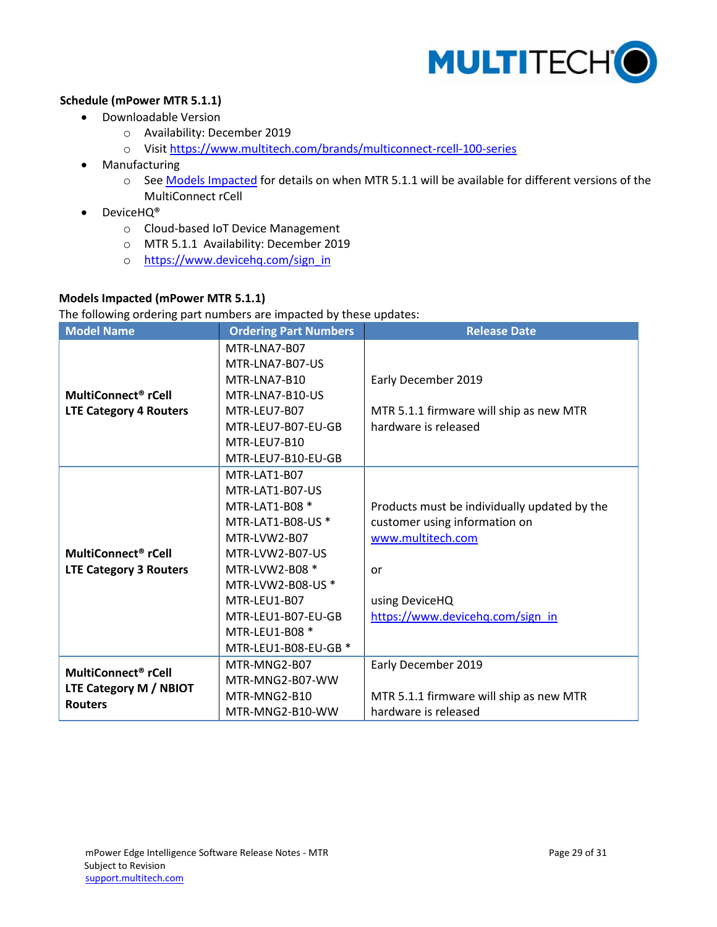

## <span id="page-28-0"></span>**Schedule (mPower MTR 5.1.1)**

- Downloadable Version
	- o Availability: December 2019
	- o Visit<https://www.multitech.com/brands/multiconnect-rcell-100-series>
- Manufacturing
	- o See Models Impacted for details on when MTR 5.1.1 will be available for different versions of the MultiConnect rCell
- DeviceHQ®
	- o Cloud-based IoT Device Management
	- o MTR 5.1.1 Availability: December 2019
	- o [https://www.devicehq.com/sign\\_in](https://www.devicehq.com/sign_in)

## <span id="page-28-1"></span>**Models Impacted (mPower MTR 5.1.1)**

The following ordering part numbers are impacted by these updates:

| <b>Model Name</b>                        | <b>Ordering Part Numbers</b> | <b>Release Date</b>                          |
|------------------------------------------|------------------------------|----------------------------------------------|
|                                          | MTR-LNA7-B07                 |                                              |
|                                          | MTR-LNA7-B07-US              |                                              |
|                                          | MTR-LNA7-B10                 | Early December 2019                          |
| MultiConnect <sup>®</sup> rCell          | MTR-LNA7-B10-US              |                                              |
| <b>LTE Category 4 Routers</b>            | MTR-LEU7-B07                 | MTR 5.1.1 firmware will ship as new MTR      |
|                                          | MTR-LEU7-B07-EU-GB           | hardware is released                         |
|                                          | MTR-LEU7-B10                 |                                              |
|                                          | MTR-LEU7-B10-EU-GB           |                                              |
|                                          | MTR-LAT1-B07                 |                                              |
|                                          | MTR-LAT1-B07-US              |                                              |
|                                          | MTR-LAT1-B08 *               | Products must be individually updated by the |
|                                          | MTR-LAT1-B08-US *            | customer using information on                |
|                                          | MTR-LVW2-B07                 | www.multitech.com                            |
| MultiConnect <sup>®</sup> rCell          | MTR-LVW2-B07-US              |                                              |
| <b>LTE Category 3 Routers</b>            | MTR-LVW2-B08 *               | or                                           |
|                                          | MTR-LVW2-B08-US *            |                                              |
|                                          | MTR-LEU1-B07                 | using DeviceHQ                               |
|                                          | MTR-LEU1-B07-EU-GB           | https://www.devicehq.com/sign_in             |
|                                          | MTR-LEU1-B08 *               |                                              |
|                                          | MTR-LEU1-B08-EU-GB *         |                                              |
| MultiConnect <sup>®</sup> rCell          | MTR-MNG2-B07                 | Early December 2019                          |
|                                          | MTR-MNG2-B07-WW              |                                              |
| LTE Category M / NBIOT<br><b>Routers</b> | MTR-MNG2-B10                 | MTR 5.1.1 firmware will ship as new MTR      |
|                                          | MTR-MNG2-B10-WW              | hardware is released                         |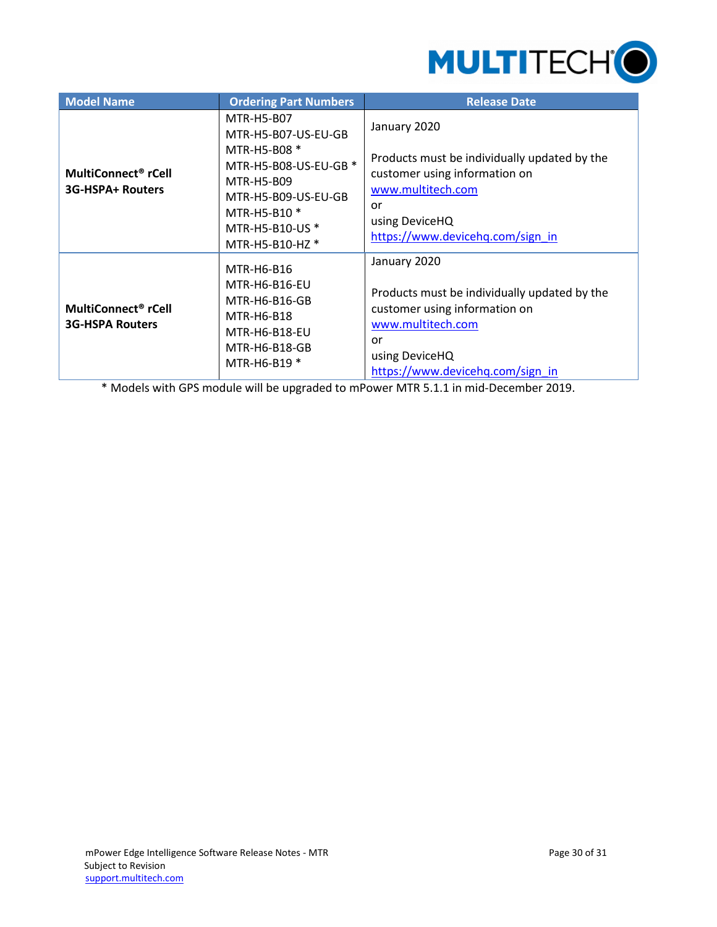

| <b>Model Name</b>                                         | <b>Ordering Part Numbers</b>                                                                                                                                          | <b>Release Date</b>                                                                                                                                                            |
|-----------------------------------------------------------|-----------------------------------------------------------------------------------------------------------------------------------------------------------------------|--------------------------------------------------------------------------------------------------------------------------------------------------------------------------------|
| MultiConnect <sup>®</sup> rCell<br>3G-HSPA+ Routers       | MTR-H5-B07<br>MTR-H5-B07-US-EU-GB<br>MTR-H5-B08 *<br>MTR-H5-B08-US-EU-GB *<br>MTR-H5-B09<br>MTR-H5-B09-US-EU-GB<br>MTR-H5-B10 *<br>MTR-H5-B10-US *<br>MTR-H5-B10-HZ * | January 2020<br>Products must be individually updated by the<br>customer using information on<br>www.multitech.com<br>or<br>using DeviceHQ<br>https://www.devicehq.com/sign_in |
| MultiConnect <sup>®</sup> rCell<br><b>3G-HSPA Routers</b> | MTR-H6-B16<br>MTR-H6-B16-EU<br>MTR-H6-B16-GB<br><b>MTR-H6-B18</b><br>MTR-H6-B18-EU<br>MTR-H6-B18-GB<br>MTR-H6-B19 *                                                   | January 2020<br>Products must be individually updated by the<br>customer using information on<br>www.multitech.com<br>or<br>using DeviceHQ<br>https://www.devicehq.com/sign in |

\* Models with GPS module will be upgraded to mPower MTR 5.1.1 in mid-December 2019.